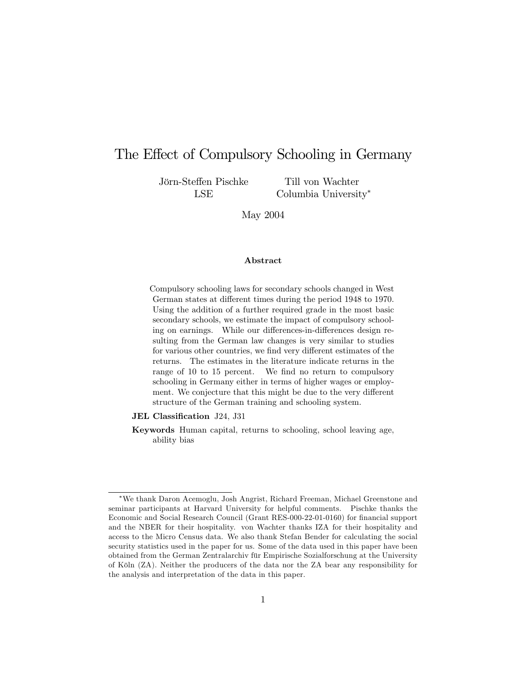# The Effect of Compulsory Schooling in Germany

Jörn-Steffen Pischke LSE

Till von Wachter Columbia University

May 2004

#### Abstract

Compulsory schooling laws for secondary schools changed in West German states at different times during the period 1948 to 1970. Using the addition of a further required grade in the most basic secondary schools, we estimate the impact of compulsory schooling on earnings. While our differences-in-differences design resulting from the German law changes is very similar to studies for various other countries, we find very different estimates of the returns. The estimates in the literature indicate returns in the range of 10 to 15 percent. We find no return to compulsory schooling in Germany either in terms of higher wages or employment. We conjecture that this might be due to the very different structure of the German training and schooling system.

JEL Classification J24, J31

Keywords Human capital, returns to schooling, school leaving age, ability bias

<sup>\*</sup>We thank Daron Acemoglu, Josh Angrist, Richard Freeman, Michael Greenstone and seminar participants at Harvard University for helpful comments. Pischke thanks the Economic and Social Research Council (Grant RES-000-22-01-0160) for financial support and the NBER for their hospitality. von Wachter thanks IZA for their hospitality and access to the Micro Census data. We also thank Stefan Bender for calculating the social security statistics used in the paper for us. Some of the data used in this paper have been obtained from the German Zentralarchiv für Empirische Sozialforschung at the University of Köln (ZA). Neither the producers of the data nor the ZA bear any responsibility for the analysis and interpretation of the data in this paper.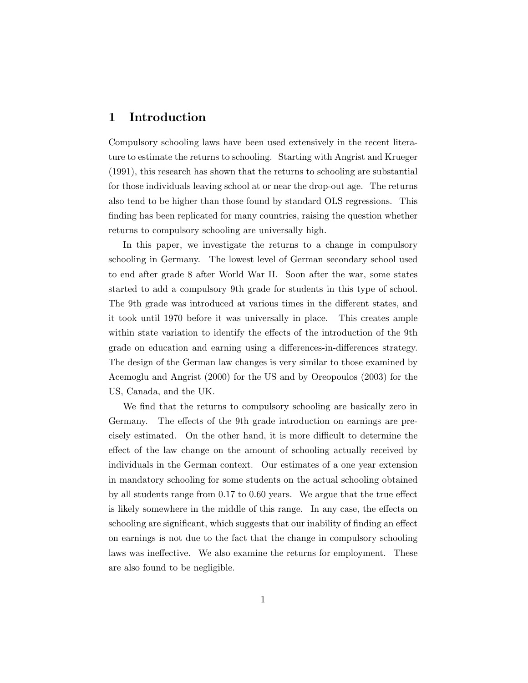### 1 Introduction

Compulsory schooling laws have been used extensively in the recent literature to estimate the returns to schooling. Starting with Angrist and Krueger (1991), this research has shown that the returns to schooling are substantial for those individuals leaving school at or near the drop-out age. The returns also tend to be higher than those found by standard OLS regressions. This finding has been replicated for many countries, raising the question whether returns to compulsory schooling are universally high.

In this paper, we investigate the returns to a change in compulsory schooling in Germany. The lowest level of German secondary school used to end after grade 8 after World War II. Soon after the war, some states started to add a compulsory 9th grade for students in this type of school. The 9th grade was introduced at various times in the different states, and it took until 1970 before it was universally in place. This creates ample within state variation to identify the effects of the introduction of the 9th grade on education and earning using a differences-in-differences strategy. The design of the German law changes is very similar to those examined by Acemoglu and Angrist (2000) for the US and by Oreopoulos (2003) for the US, Canada, and the UK.

We find that the returns to compulsory schooling are basically zero in Germany. The effects of the 9th grade introduction on earnings are precisely estimated. On the other hand, it is more difficult to determine the effect of the law change on the amount of schooling actually received by individuals in the German context. Our estimates of a one year extension in mandatory schooling for some students on the actual schooling obtained by all students range from  $0.17$  to  $0.60$  years. We argue that the true effect is likely somewhere in the middle of this range. In any case, the effects on schooling are significant, which suggests that our inability of finding an effect on earnings is not due to the fact that the change in compulsory schooling laws was ineffective. We also examine the returns for employment. These are also found to be negligible.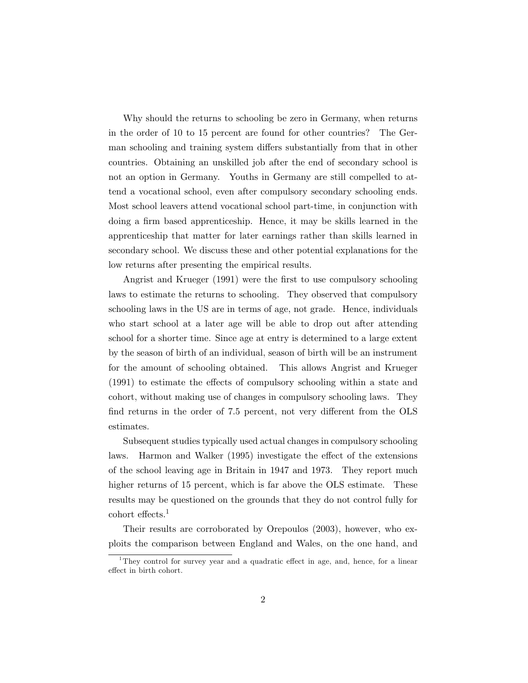Why should the returns to schooling be zero in Germany, when returns in the order of 10 to 15 percent are found for other countries? The German schooling and training system differs substantially from that in other countries. Obtaining an unskilled job after the end of secondary school is not an option in Germany. Youths in Germany are still compelled to attend a vocational school, even after compulsory secondary schooling ends. Most school leavers attend vocational school part-time, in conjunction with doing a firm based apprenticeship. Hence, it may be skills learned in the apprenticeship that matter for later earnings rather than skills learned in secondary school. We discuss these and other potential explanations for the low returns after presenting the empirical results.

Angrist and Krueger (1991) were the first to use compulsory schooling laws to estimate the returns to schooling. They observed that compulsory schooling laws in the US are in terms of age, not grade. Hence, individuals who start school at a later age will be able to drop out after attending school for a shorter time. Since age at entry is determined to a large extent by the season of birth of an individual, season of birth will be an instrument for the amount of schooling obtained. This allows Angrist and Krueger  $(1991)$  to estimate the effects of compulsory schooling within a state and cohort, without making use of changes in compulsory schooling laws. They find returns in the order of 7.5 percent, not very different from the OLS estimates.

Subsequent studies typically used actual changes in compulsory schooling laws. Harmon and Walker (1995) investigate the effect of the extensions of the school leaving age in Britain in 1947 and 1973. They report much higher returns of 15 percent, which is far above the OLS estimate. These results may be questioned on the grounds that they do not control fully for  $\rm{cohort}$  effects.<sup>1</sup>

Their results are corroborated by Orepoulos (2003), however, who exploits the comparison between England and Wales, on the one hand, and

<sup>&</sup>lt;sup>1</sup>They control for survey year and a quadratic effect in age, and, hence, for a linear effect in birth cohort.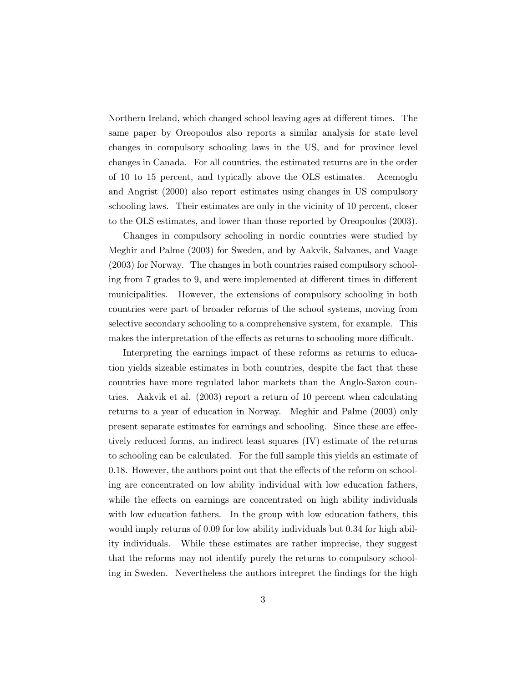Northern Ireland, which changed school leaving ages at different times. The same paper by Oreopoulos also reports a similar analysis for state level changes in compulsory schooling laws in the US, and for province level changes in Canada. For all countries, the estimated returns are in the order of 10 to 15 percent, and typically above the OLS estimates. Acemoglu and Angrist (2000) also report estimates using changes in US compulsory schooling laws. Their estimates are only in the vicinity of 10 percent, closer to the OLS estimates, and lower than those reported by Oreopoulos (2003).

Changes in compulsory schooling in nordic countries were studied by Meghir and Palme (2003) for Sweden, and by Aakvik, Salvanes, and Vaage (2003) for Norway. The changes in both countries raised compulsory schooling from 7 grades to 9, and were implemented at different times in different municipalities. However, the extensions of compulsory schooling in both countries were part of broader reforms of the school systems, moving from selective secondary schooling to a comprehensive system, for example. This makes the interpretation of the effects as returns to schooling more difficult.

Interpreting the earnings impact of these reforms as returns to education yields sizeable estimates in both countries, despite the fact that these countries have more regulated labor markets than the Anglo-Saxon countries. Aakvik et al. (2003) report a return of 10 percent when calculating returns to a year of education in Norway. Meghir and Palme (2003) only present separate estimates for earnings and schooling. Since these are effectively reduced forms, an indirect least squares (IV) estimate of the returns to schooling can be calculated. For the full sample this yields an estimate of 0.18. However, the authors point out that the effects of the reform on schooling are concentrated on low ability individual with low education fathers, while the effects on earnings are concentrated on high ability individuals with low education fathers. In the group with low education fathers, this would imply returns of 0.09 for low ability individuals but 0.34 for high ability individuals. While these estimates are rather imprecise, they suggest that the reforms may not identify purely the returns to compulsory schooling in Sweden. Nevertheless the authors intrepret the findings for the high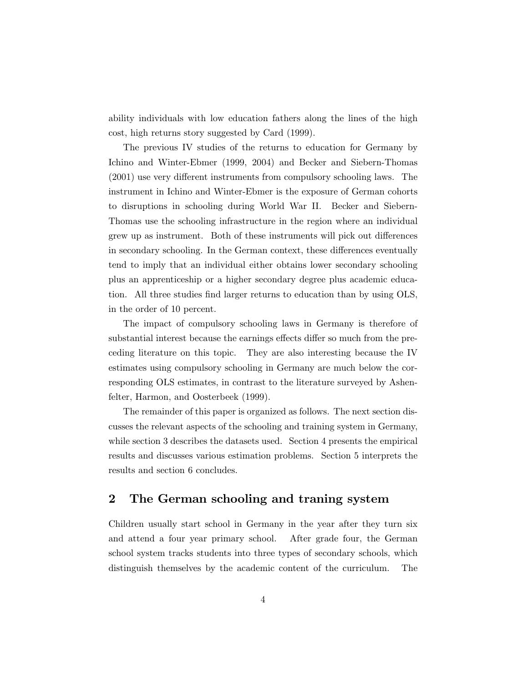ability individuals with low education fathers along the lines of the high cost, high returns story suggested by Card (1999).

The previous IV studies of the returns to education for Germany by Ichino and Winter-Ebmer (1999, 2004) and Becker and Siebern-Thomas  $(2001)$  use very different instruments from compulsory schooling laws. The instrument in Ichino and Winter-Ebmer is the exposure of German cohorts to disruptions in schooling during World War II. Becker and Siebern-Thomas use the schooling infrastructure in the region where an individual grew up as instrument. Both of these instruments will pick out differences in secondary schooling. In the German context, these differences eventually tend to imply that an individual either obtains lower secondary schooling plus an apprenticeship or a higher secondary degree plus academic education. All three studies find larger returns to education than by using OLS, in the order of 10 percent.

The impact of compulsory schooling laws in Germany is therefore of substantial interest because the earnings effects differ so much from the preceding literature on this topic. They are also interesting because the IV estimates using compulsory schooling in Germany are much below the corresponding OLS estimates, in contrast to the literature surveyed by Ashenfelter, Harmon, and Oosterbeek (1999).

The remainder of this paper is organized as follows. The next section discusses the relevant aspects of the schooling and training system in Germany, while section 3 describes the datasets used. Section 4 presents the empirical results and discusses various estimation problems. Section 5 interprets the results and section 6 concludes.

### 2 The German schooling and traning system

Children usually start school in Germany in the year after they turn six and attend a four year primary school. After grade four, the German school system tracks students into three types of secondary schools, which distinguish themselves by the academic content of the curriculum. The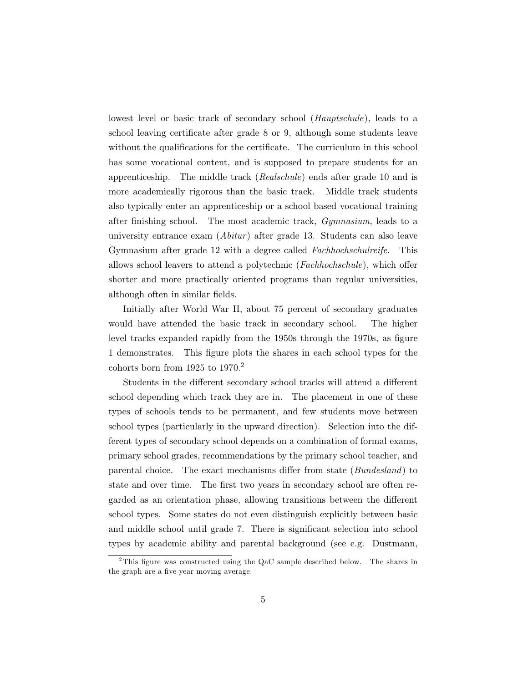lowest level or basic track of secondary school (*Hauptschule*), leads to a school leaving certificate after grade 8 or 9, although some students leave without the qualifications for the certificate. The curriculum in this school has some vocational content, and is supposed to prepare students for an apprenticeship. The middle track (Realschule) ends after grade 10 and is more academically rigorous than the basic track. Middle track students also typically enter an apprenticeship or a school based vocational training after finishing school. The most academic track,  $Gymnasium$ , leads to a university entrance exam  $(A\text{bitur})$  after grade 13. Students can also leave Gymnasium after grade 12 with a degree called Fachhochschulreife. This allows school leavers to attend a polytechnic (Fachhochschule), which offer shorter and more practically oriented programs than regular universities, although often in similar fields.

Initially after World War II, about 75 percent of secondary graduates would have attended the basic track in secondary school. The higher level tracks expanded rapidly from the 1950s through the 1970s, as figure 1 demonstrates. This figure plots the shares in each school types for the cohorts born from  $1925$  to  $1970.<sup>2</sup>$ 

Students in the different secondary school tracks will attend a different school depending which track they are in. The placement in one of these types of schools tends to be permanent, and few students move between school types (particularly in the upward direction). Selection into the different types of secondary school depends on a combination of formal exams, primary school grades, recommendations by the primary school teacher, and parental choice. The exact mechanisms differ from state (*Bundesland*) to state and over time. The first two years in secondary school are often regarded as an orientation phase, allowing transitions between the different school types. Some states do not even distinguish explicitly between basic and middle school until grade 7. There is significant selection into school types by academic ability and parental background (see e.g. Dustmann,

<sup>&</sup>lt;sup>2</sup>This figure was constructed using the QaC sample described below. The shares in the graph are a five year moving average.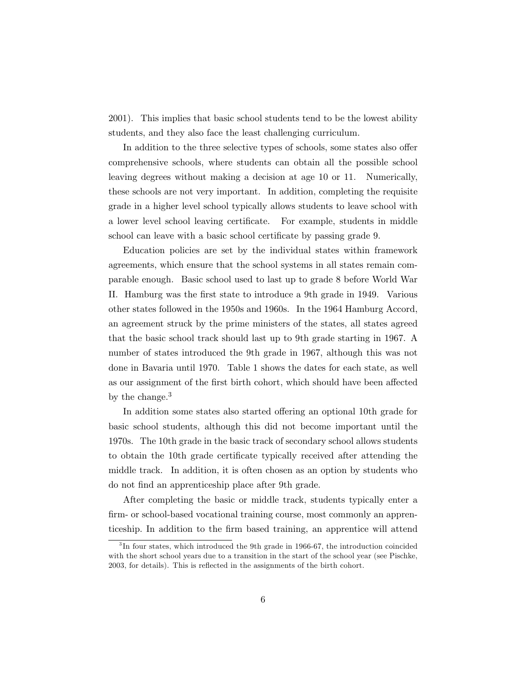2001). This implies that basic school students tend to be the lowest ability students, and they also face the least challenging curriculum.

In addition to the three selective types of schools, some states also offer comprehensive schools, where students can obtain all the possible school leaving degrees without making a decision at age 10 or 11. Numerically, these schools are not very important. In addition, completing the requisite grade in a higher level school typically allows students to leave school with a lower level school leaving certificate. For example, students in middle school can leave with a basic school certificate by passing grade 9.

Education policies are set by the individual states within framework agreements, which ensure that the school systems in all states remain comparable enough. Basic school used to last up to grade 8 before World War II. Hamburg was the first state to introduce a 9th grade in 1949. Various other states followed in the 1950s and 1960s. In the 1964 Hamburg Accord, an agreement struck by the prime ministers of the states, all states agreed that the basic school track should last up to 9th grade starting in 1967. A number of states introduced the 9th grade in 1967, although this was not done in Bavaria until 1970. Table 1 shows the dates for each state, as well as our assignment of the first birth cohort, which should have been affected by the change.<sup>3</sup>

In addition some states also started offering an optional 10th grade for basic school students, although this did not become important until the 1970s. The 10th grade in the basic track of secondary school allows students to obtain the 10th grade certificate typically received after attending the middle track. In addition, it is often chosen as an option by students who do not find an apprenticeship place after 9th grade.

After completing the basic or middle track, students typically enter a firm- or school-based vocational training course, most commonly an apprenticeship. In addition to the firm based training, an apprentice will attend

<sup>&</sup>lt;sup>3</sup>In four states, which introduced the 9th grade in 1966-67, the introduction coincided with the short school years due to a transition in the start of the school year (see Pischke, 2003, for details). This is reflected in the assignments of the birth cohort.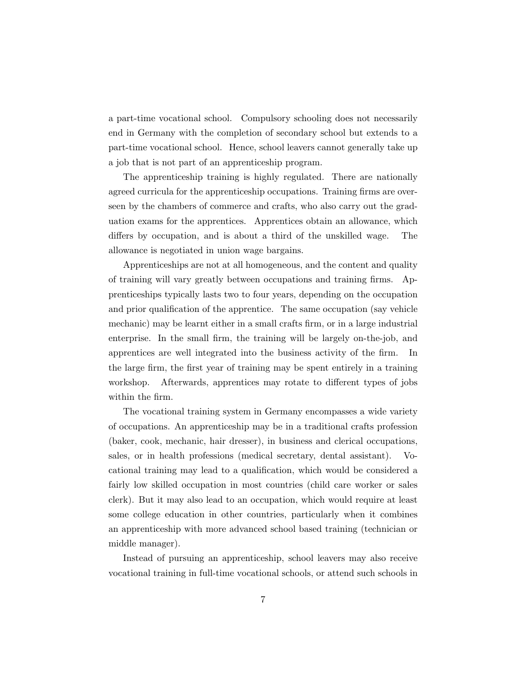a part-time vocational school. Compulsory schooling does not necessarily end in Germany with the completion of secondary school but extends to a part-time vocational school. Hence, school leavers cannot generally take up a job that is not part of an apprenticeship program.

The apprenticeship training is highly regulated. There are nationally agreed curricula for the apprenticeship occupations. Training firms are overseen by the chambers of commerce and crafts, who also carry out the graduation exams for the apprentices. Apprentices obtain an allowance, which differs by occupation, and is about a third of the unskilled wage. The allowance is negotiated in union wage bargains.

Apprenticeships are not at all homogeneous, and the content and quality of training will vary greatly between occupations and training firms. Apprenticeships typically lasts two to four years, depending on the occupation and prior qualification of the apprentice. The same occupation (say vehicle mechanic) may be learnt either in a small crafts firm, or in a large industrial enterprise. In the small firm, the training will be largely on-the-job, and apprentices are well integrated into the business activity of the firm. In the large firm, the first year of training may be spent entirely in a training workshop. Afterwards, apprentices may rotate to different types of jobs within the firm.

The vocational training system in Germany encompasses a wide variety of occupations. An apprenticeship may be in a traditional crafts profession (baker, cook, mechanic, hair dresser), in business and clerical occupations, sales, or in health professions (medical secretary, dental assistant). Vocational training may lead to a qualication, which would be considered a fairly low skilled occupation in most countries (child care worker or sales clerk). But it may also lead to an occupation, which would require at least some college education in other countries, particularly when it combines an apprenticeship with more advanced school based training (technician or middle manager).

Instead of pursuing an apprenticeship, school leavers may also receive vocational training in full-time vocational schools, or attend such schools in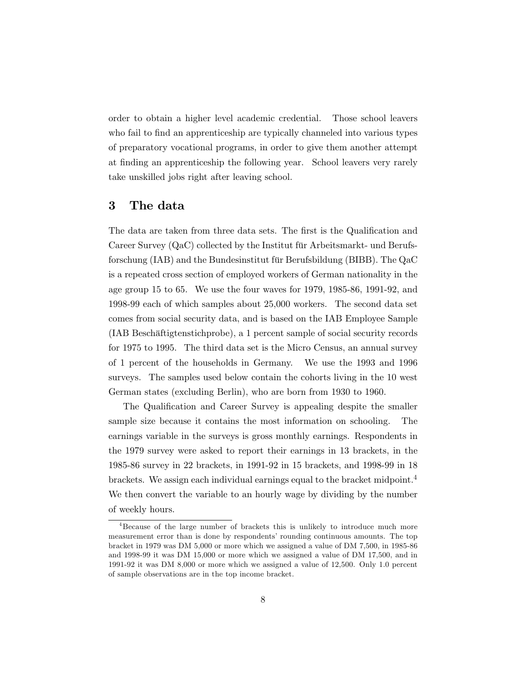order to obtain a higher level academic credential. Those school leavers who fail to find an apprenticeship are typically channeled into various types of preparatory vocational programs, in order to give them another attempt at finding an apprenticeship the following year. School leavers very rarely take unskilled jobs right after leaving school.

### 3 The data

The data are taken from three data sets. The first is the Qualification and Career Survey (QaC) collected by the Institut für Arbeitsmarkt- und Berufsforschung (IAB) and the Bundesinstitut für Berufsbildung (BIBB). The QaC is a repeated cross section of employed workers of German nationality in the age group 15 to 65. We use the four waves for 1979, 1985-86, 1991-92, and 1998-99 each of which samples about 25,000 workers. The second data set comes from social security data, and is based on the IAB Employee Sample (IAB Beschäftigtenstichprobe), a 1 percent sample of social security records for 1975 to 1995. The third data set is the Micro Census, an annual survey of 1 percent of the households in Germany. We use the 1993 and 1996 surveys. The samples used below contain the cohorts living in the 10 west German states (excluding Berlin), who are born from 1930 to 1960.

The Qualification and Career Survey is appealing despite the smaller sample size because it contains the most information on schooling. The earnings variable in the surveys is gross monthly earnings. Respondents in the 1979 survey were asked to report their earnings in 13 brackets, in the 1985-86 survey in 22 brackets, in 1991-92 in 15 brackets, and 1998-99 in 18 brackets. We assign each individual earnings equal to the bracket midpoint.<sup>4</sup> We then convert the variable to an hourly wage by dividing by the number of weekly hours.

<sup>&</sup>lt;sup>4</sup>Because of the large number of brackets this is unlikely to introduce much more measurement error than is done by respondents' rounding continuous amounts. The top bracket in 1979 was DM 5,000 or more which we assigned a value of DM 7,500, in 1985-86 and 1998-99 it was DM 15,000 or more which we assigned a value of DM 17,500, and in 1991-92 it was DM 8,000 or more which we assigned a value of 12,500. Only 1.0 percent of sample observations are in the top income bracket.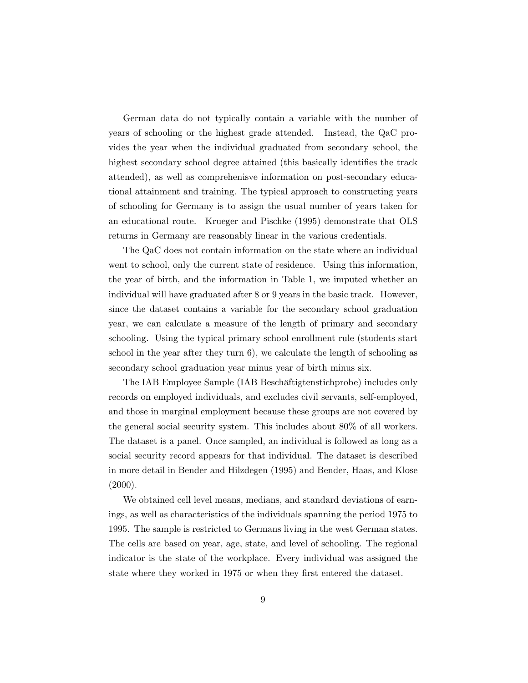German data do not typically contain a variable with the number of years of schooling or the highest grade attended. Instead, the QaC provides the year when the individual graduated from secondary school, the highest secondary school degree attained (this basically identifies the track attended), as well as comprehenisve information on post-secondary educational attainment and training. The typical approach to constructing years of schooling for Germany is to assign the usual number of years taken for an educational route. Krueger and Pischke (1995) demonstrate that OLS returns in Germany are reasonably linear in the various credentials.

The QaC does not contain information on the state where an individual went to school, only the current state of residence. Using this information, the year of birth, and the information in Table 1, we imputed whether an individual will have graduated after 8 or 9 years in the basic track. However, since the dataset contains a variable for the secondary school graduation year, we can calculate a measure of the length of primary and secondary schooling. Using the typical primary school enrollment rule (students start school in the year after they turn 6), we calculate the length of schooling as secondary school graduation year minus year of birth minus six.

The IAB Employee Sample (IAB Beschäftigtenstichprobe) includes only records on employed individuals, and excludes civil servants, self-employed, and those in marginal employment because these groups are not covered by the general social security system. This includes about 80% of all workers. The dataset is a panel. Once sampled, an individual is followed as long as a social security record appears for that individual. The dataset is described in more detail in Bender and Hilzdegen (1995) and Bender, Haas, and Klose  $(2000).$ 

We obtained cell level means, medians, and standard deviations of earnings, as well as characteristics of the individuals spanning the period 1975 to 1995. The sample is restricted to Germans living in the west German states. The cells are based on year, age, state, and level of schooling. The regional indicator is the state of the workplace. Every individual was assigned the state where they worked in 1975 or when they first entered the dataset.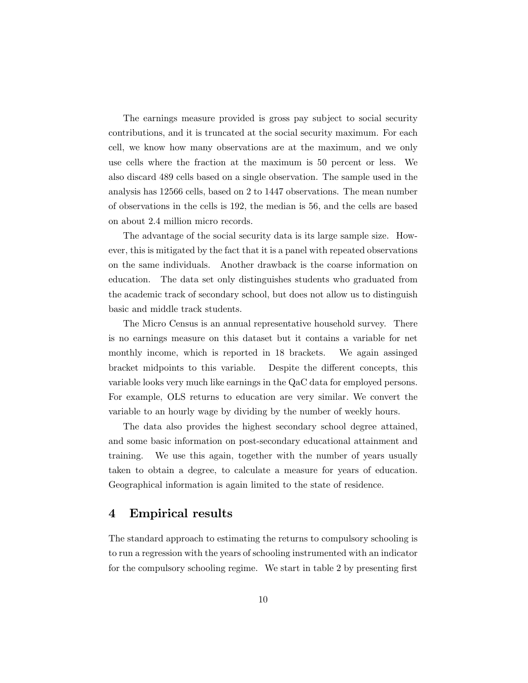The earnings measure provided is gross pay subject to social security contributions, and it is truncated at the social security maximum. For each cell, we know how many observations are at the maximum, and we only use cells where the fraction at the maximum is 50 percent or less. We also discard 489 cells based on a single observation. The sample used in the analysis has 12566 cells, based on 2 to 1447 observations. The mean number of observations in the cells is 192, the median is 56, and the cells are based on about 2.4 million micro records.

The advantage of the social security data is its large sample size. However, this is mitigated by the fact that it is a panel with repeated observations on the same individuals. Another drawback is the coarse information on education. The data set only distinguishes students who graduated from the academic track of secondary school, but does not allow us to distinguish basic and middle track students.

The Micro Census is an annual representative household survey. There is no earnings measure on this dataset but it contains a variable for net monthly income, which is reported in 18 brackets. We again assinged bracket midpoints to this variable. Despite the different concepts, this variable looks very much like earnings in the QaC data for employed persons. For example, OLS returns to education are very similar. We convert the variable to an hourly wage by dividing by the number of weekly hours.

The data also provides the highest secondary school degree attained, and some basic information on post-secondary educational attainment and training. We use this again, together with the number of years usually taken to obtain a degree, to calculate a measure for years of education. Geographical information is again limited to the state of residence.

## 4 Empirical results

The standard approach to estimating the returns to compulsory schooling is to run a regression with the years of schooling instrumented with an indicator for the compulsory schooling regime. We start in table  $2$  by presenting first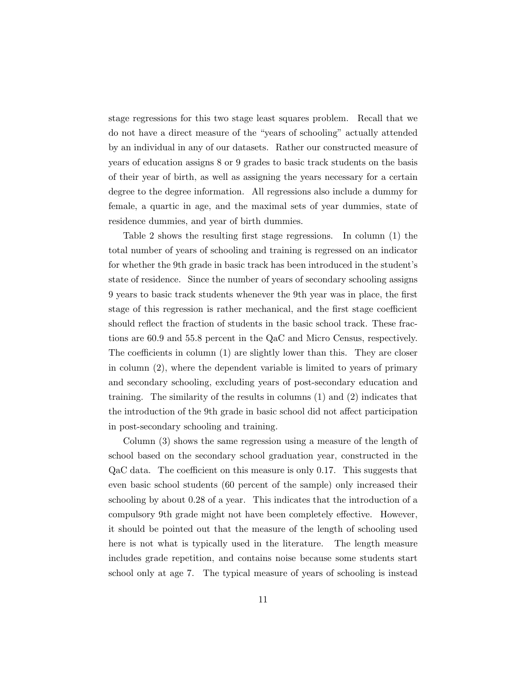stage regressions for this two stage least squares problem. Recall that we do not have a direct measure of the "years of schooling" actually attended by an individual in any of our datasets. Rather our constructed measure of years of education assigns 8 or 9 grades to basic track students on the basis of their year of birth, as well as assigning the years necessary for a certain degree to the degree information. All regressions also include a dummy for female, a quartic in age, and the maximal sets of year dummies, state of residence dummies, and year of birth dummies.

Table 2 shows the resulting first stage regressions. In column  $(1)$  the total number of years of schooling and training is regressed on an indicator for whether the 9th grade in basic track has been introduced in the student's state of residence. Since the number of years of secondary schooling assigns 9 years to basic track students whenever the 9th year was in place, the first stage of this regression is rather mechanical, and the first stage coefficient should reflect the fraction of students in the basic school track. These fractions are 60.9 and 55.8 percent in the QaC and Micro Census, respectively. The coefficients in column  $(1)$  are slightly lower than this. They are closer in column (2), where the dependent variable is limited to years of primary and secondary schooling, excluding years of post-secondary education and training. The similarity of the results in columns (1) and (2) indicates that the introduction of the 9th grade in basic school did not affect participation in post-secondary schooling and training.

Column (3) shows the same regression using a measure of the length of school based on the secondary school graduation year, constructed in the  $QaC$  data. The coefficient on this measure is only 0.17. This suggests that even basic school students (60 percent of the sample) only increased their schooling by about 0.28 of a year. This indicates that the introduction of a compulsory 9th grade might not have been completely effective. However, it should be pointed out that the measure of the length of schooling used here is not what is typically used in the literature. The length measure includes grade repetition, and contains noise because some students start school only at age 7. The typical measure of years of schooling is instead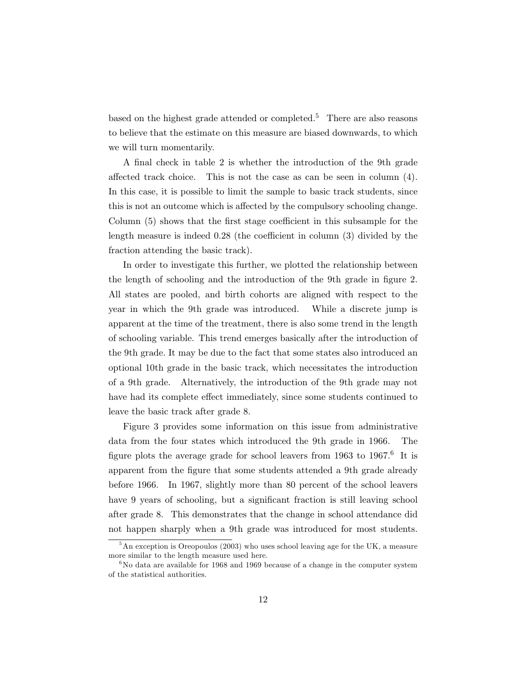based on the highest grade attended or completed.<sup>5</sup> There are also reasons to believe that the estimate on this measure are biased downwards, to which we will turn momentarily.

A final check in table 2 is whether the introduction of the 9th grade affected track choice. This is not the case as can be seen in column  $(4)$ . In this case, it is possible to limit the sample to basic track students, since this is not an outcome which is affected by the compulsory schooling change. Column  $(5)$  shows that the first stage coefficient in this subsample for the length measure is indeed  $0.28$  (the coefficient in column  $(3)$  divided by the fraction attending the basic track).

In order to investigate this further, we plotted the relationship between the length of schooling and the introduction of the 9th grade in figure 2. All states are pooled, and birth cohorts are aligned with respect to the year in which the 9th grade was introduced. While a discrete jump is apparent at the time of the treatment, there is also some trend in the length of schooling variable. This trend emerges basically after the introduction of the 9th grade. It may be due to the fact that some states also introduced an optional 10th grade in the basic track, which necessitates the introduction of a 9th grade. Alternatively, the introduction of the 9th grade may not have had its complete effect immediately, since some students continued to leave the basic track after grade 8.

Figure 3 provides some information on this issue from administrative data from the four states which introduced the 9th grade in 1966. The figure plots the average grade for school leavers from  $1963$  to  $1967<sup>6</sup>$  It is apparent from the figure that some students attended a 9th grade already before 1966. In 1967, slightly more than 80 percent of the school leavers have 9 years of schooling, but a significant fraction is still leaving school after grade 8. This demonstrates that the change in school attendance did not happen sharply when a 9th grade was introduced for most students.

<sup>&</sup>lt;sup>5</sup>An exception is Oreopoulos (2003) who uses school leaving age for the UK, a measure more similar to the length measure used here.

 $6$ No data are available for 1968 and 1969 because of a change in the computer system of the statistical authorities.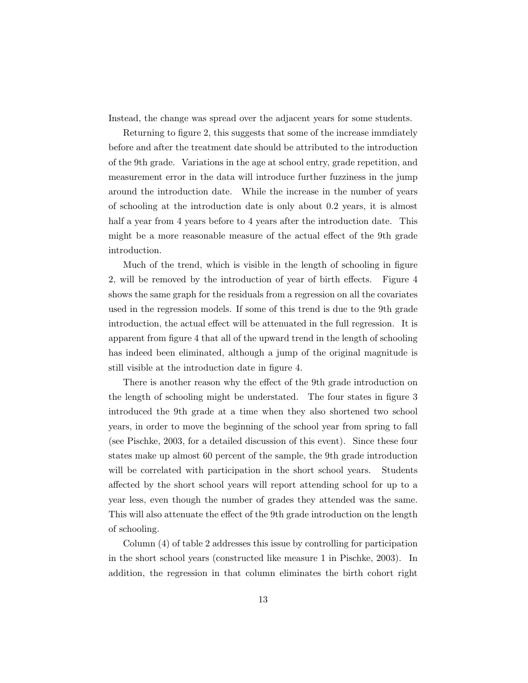Instead, the change was spread over the adjacent years for some students.

Returning to figure 2, this suggests that some of the increase immediately before and after the treatment date should be attributed to the introduction of the 9th grade. Variations in the age at school entry, grade repetition, and measurement error in the data will introduce further fuzziness in the jump around the introduction date. While the increase in the number of years of schooling at the introduction date is only about 0.2 years, it is almost half a year from 4 years before to 4 years after the introduction date. This might be a more reasonable measure of the actual effect of the 9th grade introduction.

Much of the trend, which is visible in the length of schooling in figure 2, will be removed by the introduction of year of birth effects. Figure 4 shows the same graph for the residuals from a regression on all the covariates used in the regression models. If some of this trend is due to the 9th grade introduction, the actual effect will be attenuated in the full regression. It is apparent from figure 4 that all of the upward trend in the length of schooling has indeed been eliminated, although a jump of the original magnitude is still visible at the introduction date in figure 4.

There is another reason why the effect of the 9th grade introduction on the length of schooling might be understated. The four states in figure 3 introduced the 9th grade at a time when they also shortened two school years, in order to move the beginning of the school year from spring to fall (see Pischke, 2003, for a detailed discussion of this event). Since these four states make up almost 60 percent of the sample, the 9th grade introduction will be correlated with participation in the short school years. Students affected by the short school years will report attending school for up to a year less, even though the number of grades they attended was the same. This will also attenuate the effect of the 9th grade introduction on the length of schooling.

Column (4) of table 2 addresses this issue by controlling for participation in the short school years (constructed like measure 1 in Pischke, 2003). In addition, the regression in that column eliminates the birth cohort right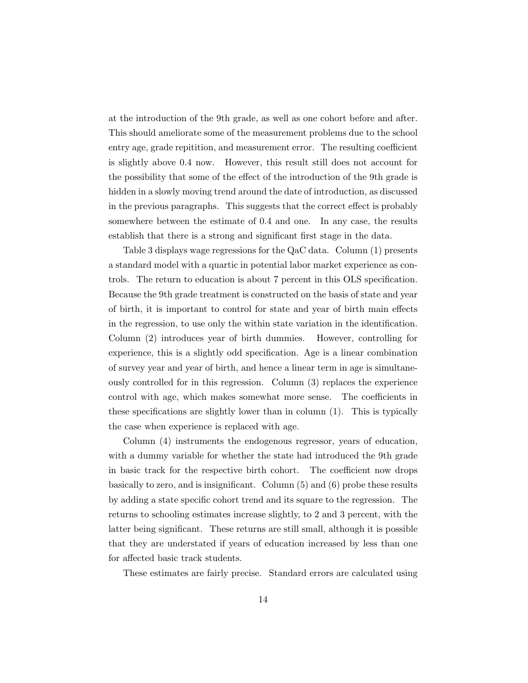at the introduction of the 9th grade, as well as one cohort before and after. This should ameliorate some of the measurement problems due to the school entry age, grade repitition, and measurement error. The resulting coefficient is slightly above 0.4 now. However, this result still does not account for the possibility that some of the effect of the introduction of the 9th grade is hidden in a slowly moving trend around the date of introduction, as discussed in the previous paragraphs. This suggests that the correct effect is probably somewhere between the estimate of 0.4 and one. In any case, the results establish that there is a strong and significant first stage in the data.

Table 3 displays wage regressions for the QaC data. Column (1) presents a standard model with a quartic in potential labor market experience as controls. The return to education is about 7 percent in this OLS specification. Because the 9th grade treatment is constructed on the basis of state and year of birth, it is important to control for state and year of birth main effects in the regression, to use only the within state variation in the identification. Column (2) introduces year of birth dummies. However, controlling for experience, this is a slightly odd specification. Age is a linear combination of survey year and year of birth, and hence a linear term in age is simultaneously controlled for in this regression. Column (3) replaces the experience control with age, which makes somewhat more sense. The coefficients in these specifications are slightly lower than in column  $(1)$ . This is typically the case when experience is replaced with age.

Column (4) instruments the endogenous regressor, years of education, with a dummy variable for whether the state had introduced the 9th grade in basic track for the respective birth cohort. The coefficient now drops basically to zero, and is insignificant. Column  $(5)$  and  $(6)$  probe these results by adding a state specific cohort trend and its square to the regression. The returns to schooling estimates increase slightly, to 2 and 3 percent, with the latter being signicant. These returns are still small, although it is possible that they are understated if years of education increased by less than one for affected basic track students.

These estimates are fairly precise. Standard errors are calculated using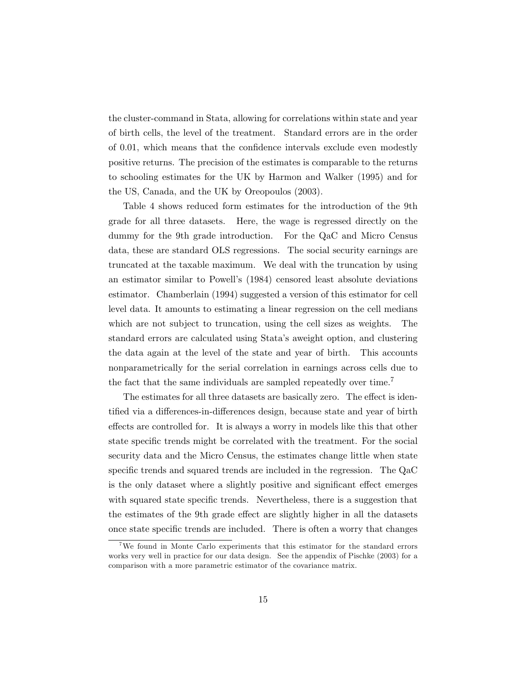the cluster-command in Stata, allowing for correlations within state and year of birth cells, the level of the treatment. Standard errors are in the order of 0.01, which means that the condence intervals exclude even modestly positive returns. The precision of the estimates is comparable to the returns to schooling estimates for the UK by Harmon and Walker (1995) and for the US, Canada, and the UK by Oreopoulos (2003).

Table 4 shows reduced form estimates for the introduction of the 9th grade for all three datasets. Here, the wage is regressed directly on the dummy for the 9th grade introduction. For the QaC and Micro Census data, these are standard OLS regressions. The social security earnings are truncated at the taxable maximum. We deal with the truncation by using an estimator similar to Powell's (1984) censored least absolute deviations estimator. Chamberlain (1994) suggested a version of this estimator for cell level data. It amounts to estimating a linear regression on the cell medians which are not subject to truncation, using the cell sizes as weights. The standard errors are calculated using Stata's aweight option, and clustering the data again at the level of the state and year of birth. This accounts nonparametrically for the serial correlation in earnings across cells due to the fact that the same individuals are sampled repeatedly over time.<sup>7</sup>

The estimates for all three datasets are basically zero. The effect is identified via a differences-in-differences design, because state and year of birth effects are controlled for. It is always a worry in models like this that other state specific trends might be correlated with the treatment. For the social security data and the Micro Census, the estimates change little when state specific trends and squared trends are included in the regression. The  $QaC$ is the only dataset where a slightly positive and significant effect emerges with squared state specific trends. Nevertheless, there is a suggestion that the estimates of the 9th grade effect are slightly higher in all the datasets once state specific trends are included. There is often a worry that changes

<sup>7</sup>We found in Monte Carlo experiments that this estimator for the standard errors works very well in practice for our data design. See the appendix of Pischke (2003) for a comparison with a more parametric estimator of the covariance matrix.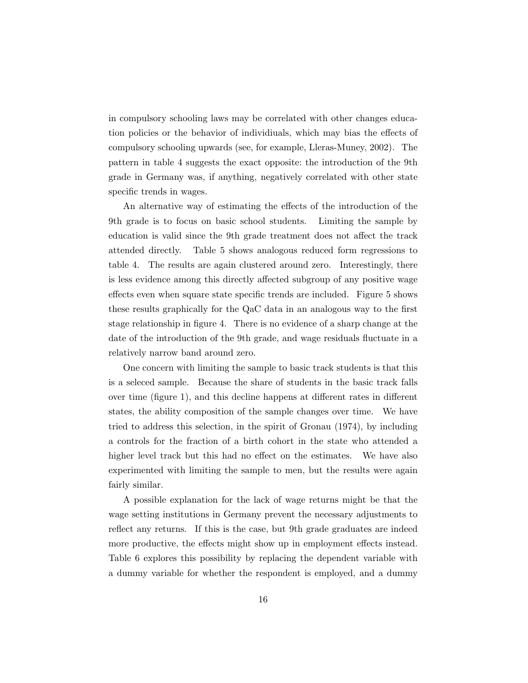in compulsory schooling laws may be correlated with other changes education policies or the behavior of individiuals, which may bias the effects of compulsory schooling upwards (see, for example, Lleras-Muney, 2002). The pattern in table 4 suggests the exact opposite: the introduction of the 9th grade in Germany was, if anything, negatively correlated with other state specific trends in wages.

An alternative way of estimating the effects of the introduction of the 9th grade is to focus on basic school students. Limiting the sample by education is valid since the 9th grade treatment does not affect the track attended directly. Table 5 shows analogous reduced form regressions to table 4. The results are again clustered around zero. Interestingly, there is less evidence among this directly affected subgroup of any positive wage effects even when square state specific trends are included. Figure 5 shows these results graphically for the QaC data in an analogous way to the first stage relationship in figure 4. There is no evidence of a sharp change at the date of the introduction of the 9th grade, and wage residuals fluctuate in a relatively narrow band around zero.

One concern with limiting the sample to basic track students is that this is a seleced sample. Because the share of students in the basic track falls over time (figure 1), and this decline happens at different rates in different states, the ability composition of the sample changes over time. We have tried to address this selection, in the spirit of Gronau (1974), by including a controls for the fraction of a birth cohort in the state who attended a higher level track but this had no effect on the estimates. We have also experimented with limiting the sample to men, but the results were again fairly similar.

A possible explanation for the lack of wage returns might be that the wage setting institutions in Germany prevent the necessary adjustments to reflect any returns. If this is the case, but 9th grade graduates are indeed more productive, the effects might show up in employment effects instead. Table 6 explores this possibility by replacing the dependent variable with a dummy variable for whether the respondent is employed, and a dummy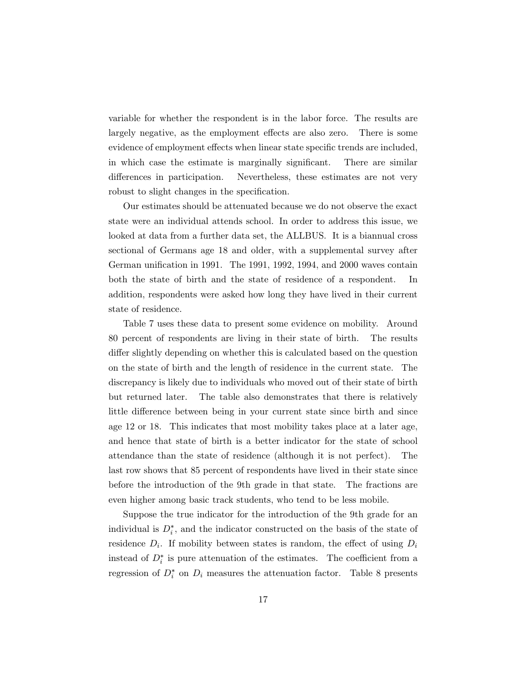variable for whether the respondent is in the labor force. The results are largely negative, as the employment effects are also zero. There is some evidence of employment effects when linear state specific trends are included, in which case the estimate is marginally significant. There are similar differences in participation. Nevertheless, these estimates are not very robust to slight changes in the specification.

Our estimates should be attenuated because we do not observe the exact state were an individual attends school. In order to address this issue, we looked at data from a further data set, the ALLBUS. It is a biannual cross sectional of Germans age 18 and older, with a supplemental survey after German unification in 1991. The 1991, 1992, 1994, and  $2000$  waves contain both the state of birth and the state of residence of a respondent. In addition, respondents were asked how long they have lived in their current state of residence.

Table 7 uses these data to present some evidence on mobility. Around 80 percent of respondents are living in their state of birth. The results differ slightly depending on whether this is calculated based on the question on the state of birth and the length of residence in the current state. The discrepancy is likely due to individuals who moved out of their state of birth but returned later. The table also demonstrates that there is relatively little difference between being in your current state since birth and since age 12 or 18. This indicates that most mobility takes place at a later age, and hence that state of birth is a better indicator for the state of school attendance than the state of residence (although it is not perfect). The last row shows that 85 percent of respondents have lived in their state since before the introduction of the 9th grade in that state. The fractions are even higher among basic track students, who tend to be less mobile.

Suppose the true indicator for the introduction of the 9th grade for an individual is  $D_i^*$ , and the indicator constructed on the basis of the state of residence  $D_i$ . If mobility between states is random, the effect of using  $D_i$ instead of  $D_i^*$  is pure attenuation of the estimates. The coefficient from a regression of  $D_i^*$  on  $D_i$  measures the attenuation factor. Table 8 presents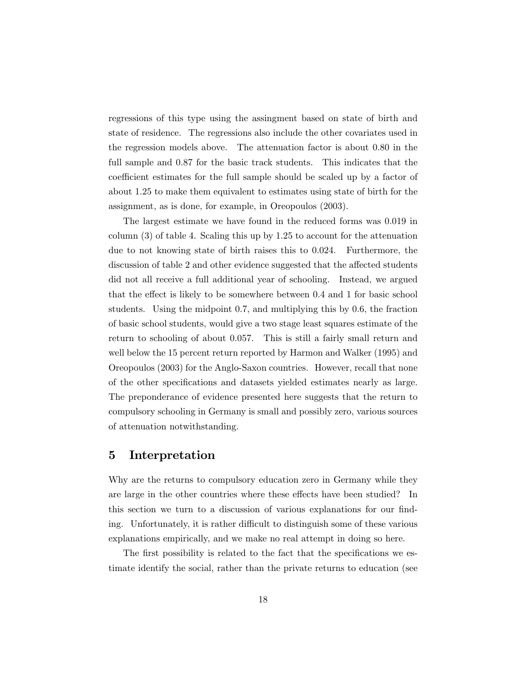regressions of this type using the assingment based on state of birth and state of residence. The regressions also include the other covariates used in the regression models above. The attenuation factor is about 0.80 in the full sample and 0.87 for the basic track students. This indicates that the coefficient estimates for the full sample should be scaled up by a factor of about 1.25 to make them equivalent to estimates using state of birth for the assignment, as is done, for example, in Oreopoulos (2003).

The largest estimate we have found in the reduced forms was 0.019 in column (3) of table 4. Scaling this up by 1.25 to account for the attenuation due to not knowing state of birth raises this to 0.024. Furthermore, the discussion of table 2 and other evidence suggested that the affected students did not all receive a full additional year of schooling. Instead, we argued that the effect is likely to be somewhere between 0.4 and 1 for basic school students. Using the midpoint 0.7, and multiplying this by 0.6, the fraction of basic school students, would give a two stage least squares estimate of the return to schooling of about 0.057. This is still a fairly small return and well below the 15 percent return reported by Harmon and Walker (1995) and Oreopoulos (2003) for the Anglo-Saxon countries. However, recall that none of the other specifications and datasets yielded estimates nearly as large. The preponderance of evidence presented here suggests that the return to compulsory schooling in Germany is small and possibly zero, various sources of attenuation notwithstanding.

### 5 Interpretation

Why are the returns to compulsory education zero in Germany while they are large in the other countries where these effects have been studied? In this section we turn to a discussion of various explanations for our finding. Unfortunately, it is rather difficult to distinguish some of these various explanations empirically, and we make no real attempt in doing so here.

The first possibility is related to the fact that the specifications we estimate identify the social, rather than the private returns to education (see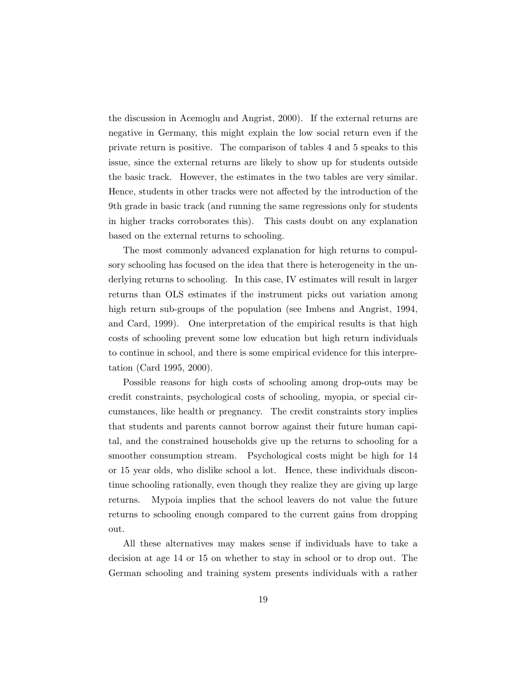the discussion in Acemoglu and Angrist, 2000). If the external returns are negative in Germany, this might explain the low social return even if the private return is positive. The comparison of tables 4 and 5 speaks to this issue, since the external returns are likely to show up for students outside the basic track. However, the estimates in the two tables are very similar. Hence, students in other tracks were not affected by the introduction of the 9th grade in basic track (and running the same regressions only for students in higher tracks corroborates this). This casts doubt on any explanation based on the external returns to schooling.

The most commonly advanced explanation for high returns to compulsory schooling has focused on the idea that there is heterogeneity in the underlying returns to schooling. In this case, IV estimates will result in larger returns than OLS estimates if the instrument picks out variation among high return sub-groups of the population (see Imbens and Angrist, 1994, and Card, 1999). One interpretation of the empirical results is that high costs of schooling prevent some low education but high return individuals to continue in school, and there is some empirical evidence for this interpretation (Card 1995, 2000).

Possible reasons for high costs of schooling among drop-outs may be credit constraints, psychological costs of schooling, myopia, or special circumstances, like health or pregnancy. The credit constraints story implies that students and parents cannot borrow against their future human capital, and the constrained households give up the returns to schooling for a smoother consumption stream. Psychological costs might be high for 14 or 15 year olds, who dislike school a lot. Hence, these individuals discontinue schooling rationally, even though they realize they are giving up large returns. Mypoia implies that the school leavers do not value the future returns to schooling enough compared to the current gains from dropping out.

All these alternatives may makes sense if individuals have to take a decision at age 14 or 15 on whether to stay in school or to drop out. The German schooling and training system presents individuals with a rather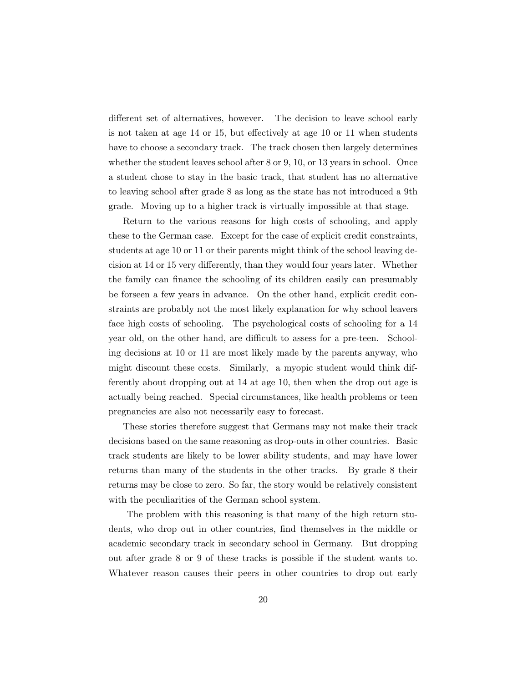different set of alternatives, however. The decision to leave school early is not taken at age  $14$  or  $15$ , but effectively at age  $10$  or  $11$  when students have to choose a secondary track. The track chosen then largely determines whether the student leaves school after 8 or 9, 10, or 13 years in school. Once a student chose to stay in the basic track, that student has no alternative to leaving school after grade 8 as long as the state has not introduced a 9th grade. Moving up to a higher track is virtually impossible at that stage.

Return to the various reasons for high costs of schooling, and apply these to the German case. Except for the case of explicit credit constraints, students at age 10 or 11 or their parents might think of the school leaving decision at 14 or 15 very differently, than they would four years later. Whether the family can finance the schooling of its children easily can presumably be forseen a few years in advance. On the other hand, explicit credit constraints are probably not the most likely explanation for why school leavers face high costs of schooling. The psychological costs of schooling for a 14 year old, on the other hand, are difficult to assess for a pre-teen. Schooling decisions at 10 or 11 are most likely made by the parents anyway, who might discount these costs. Similarly, a myopic student would think differently about dropping out at 14 at age 10, then when the drop out age is actually being reached. Special circumstances, like health problems or teen pregnancies are also not necessarily easy to forecast.

These stories therefore suggest that Germans may not make their track decisions based on the same reasoning as drop-outs in other countries. Basic track students are likely to be lower ability students, and may have lower returns than many of the students in the other tracks. By grade 8 their returns may be close to zero. So far, the story would be relatively consistent with the peculiarities of the German school system.

The problem with this reasoning is that many of the high return students, who drop out in other countries, find themselves in the middle or academic secondary track in secondary school in Germany. But dropping out after grade 8 or 9 of these tracks is possible if the student wants to. Whatever reason causes their peers in other countries to drop out early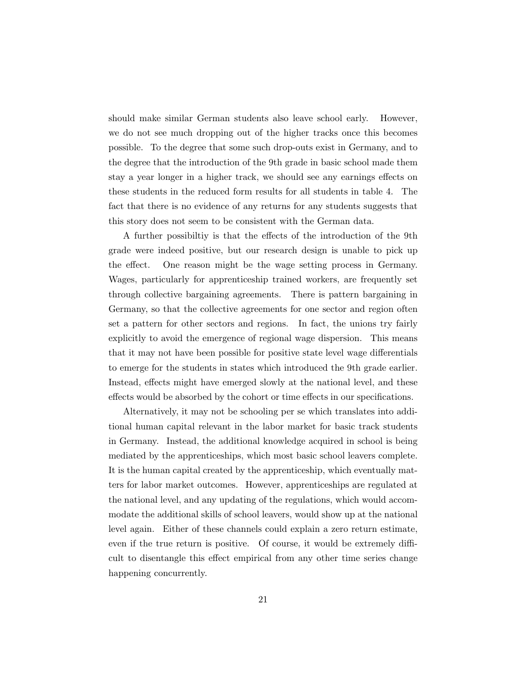should make similar German students also leave school early. However, we do not see much dropping out of the higher tracks once this becomes possible. To the degree that some such drop-outs exist in Germany, and to the degree that the introduction of the 9th grade in basic school made them stay a year longer in a higher track, we should see any earnings effects on these students in the reduced form results for all students in table 4. The fact that there is no evidence of any returns for any students suggests that this story does not seem to be consistent with the German data.

A further possibiltiy is that the effects of the introduction of the 9th grade were indeed positive, but our research design is unable to pick up the effect. One reason might be the wage setting process in Germany. Wages, particularly for apprenticeship trained workers, are frequently set through collective bargaining agreements. There is pattern bargaining in Germany, so that the collective agreements for one sector and region often set a pattern for other sectors and regions. In fact, the unions try fairly explicitly to avoid the emergence of regional wage dispersion. This means that it may not have been possible for positive state level wage differentials to emerge for the students in states which introduced the 9th grade earlier. Instead, effects might have emerged slowly at the national level, and these effects would be absorbed by the cohort or time effects in our specifications.

Alternatively, it may not be schooling per se which translates into additional human capital relevant in the labor market for basic track students in Germany. Instead, the additional knowledge acquired in school is being mediated by the apprenticeships, which most basic school leavers complete. It is the human capital created by the apprenticeship, which eventually matters for labor market outcomes. However, apprenticeships are regulated at the national level, and any updating of the regulations, which would accommodate the additional skills of school leavers, would show up at the national level again. Either of these channels could explain a zero return estimate, even if the true return is positive. Of course, it would be extremely difficult to disentangle this effect empirical from any other time series change happening concurrently.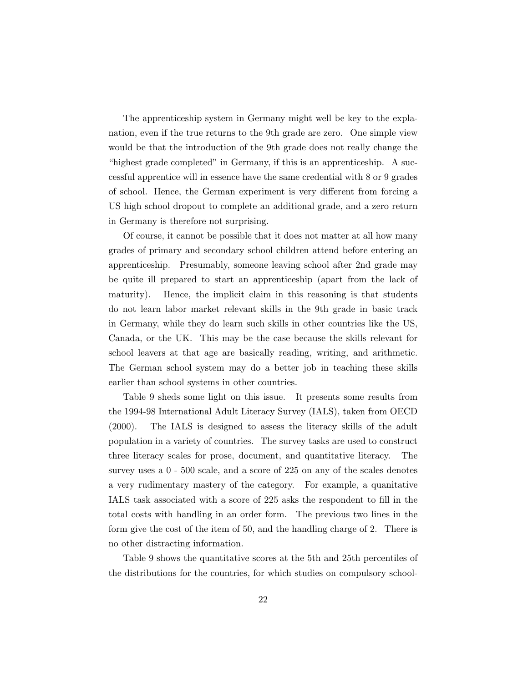The apprenticeship system in Germany might well be key to the explanation, even if the true returns to the 9th grade are zero. One simple view would be that the introduction of the 9th grade does not really change the "highest grade completed" in Germany, if this is an apprenticeship. A successful apprentice will in essence have the same credential with 8 or 9 grades of school. Hence, the German experiment is very different from forcing a US high school dropout to complete an additional grade, and a zero return in Germany is therefore not surprising.

Of course, it cannot be possible that it does not matter at all how many grades of primary and secondary school children attend before entering an apprenticeship. Presumably, someone leaving school after 2nd grade may be quite ill prepared to start an apprenticeship (apart from the lack of maturity). Hence, the implicit claim in this reasoning is that students do not learn labor market relevant skills in the 9th grade in basic track in Germany, while they do learn such skills in other countries like the US, Canada, or the UK. This may be the case because the skills relevant for school leavers at that age are basically reading, writing, and arithmetic. The German school system may do a better job in teaching these skills earlier than school systems in other countries.

Table 9 sheds some light on this issue. It presents some results from the 1994-98 International Adult Literacy Survey (IALS), taken from OECD (2000). The IALS is designed to assess the literacy skills of the adult population in a variety of countries. The survey tasks are used to construct three literacy scales for prose, document, and quantitative literacy. The survey uses a 0 - 500 scale, and a score of 225 on any of the scales denotes a very rudimentary mastery of the category. For example, a quanitative IALS task associated with a score of 225 asks the respondent to fill in the total costs with handling in an order form. The previous two lines in the form give the cost of the item of 50, and the handling charge of 2. There is no other distracting information.

Table 9 shows the quantitative scores at the 5th and 25th percentiles of the distributions for the countries, for which studies on compulsory school-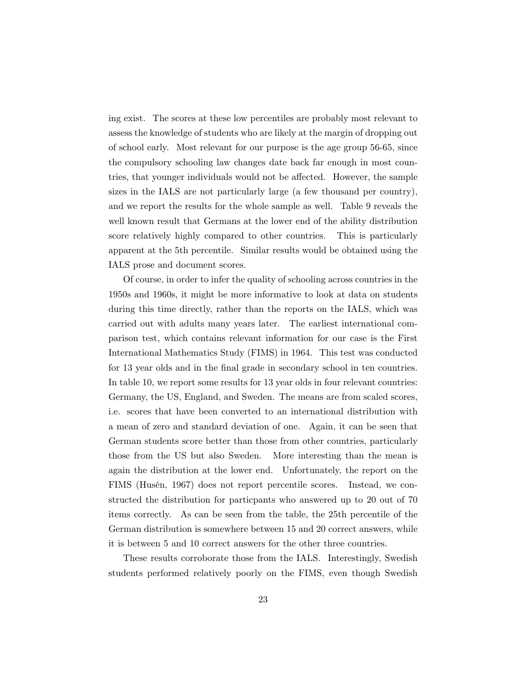ing exist. The scores at these low percentiles are probably most relevant to assess the knowledge of students who are likely at the margin of dropping out of school early. Most relevant for our purpose is the age group 56-65, since the compulsory schooling law changes date back far enough in most countries, that younger individuals would not be a¤ected. However, the sample sizes in the IALS are not particularly large (a few thousand per country), and we report the results for the whole sample as well. Table 9 reveals the well known result that Germans at the lower end of the ability distribution score relatively highly compared to other countries. This is particularly apparent at the 5th percentile. Similar results would be obtained using the IALS prose and document scores.

Of course, in order to infer the quality of schooling across countries in the 1950s and 1960s, it might be more informative to look at data on students during this time directly, rather than the reports on the IALS, which was carried out with adults many years later. The earliest international comparison test, which contains relevant information for our case is the First International Mathematics Study (FIMS) in 1964. This test was conducted for 13 year olds and in the final grade in secondary school in ten countries. In table 10, we report some results for 13 year olds in four relevant countries: Germany, the US, England, and Sweden. The means are from scaled scores, i.e. scores that have been converted to an international distribution with a mean of zero and standard deviation of one. Again, it can be seen that German students score better than those from other countries, particularly those from the US but also Sweden. More interesting than the mean is again the distribution at the lower end. Unfortunately, the report on the FIMS (Husén, 1967) does not report percentile scores. Instead, we constructed the distribution for particpants who answered up to 20 out of 70 items correctly. As can be seen from the table, the 25th percentile of the German distribution is somewhere between 15 and 20 correct answers, while it is between 5 and 10 correct answers for the other three countries.

These results corroborate those from the IALS. Interestingly, Swedish students performed relatively poorly on the FIMS, even though Swedish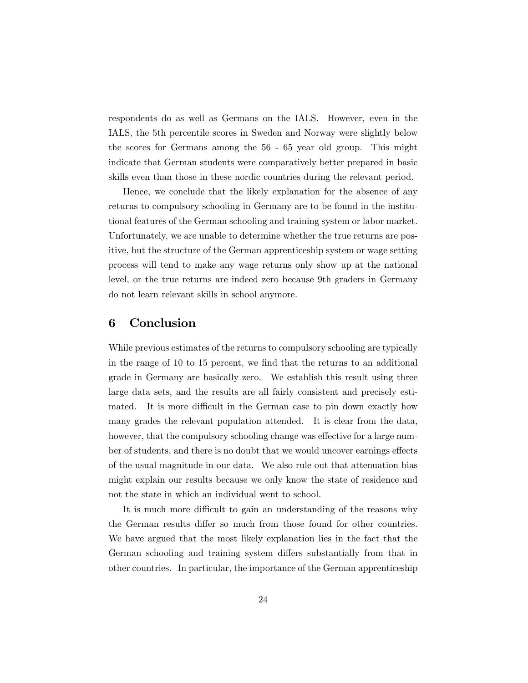respondents do as well as Germans on the IALS. However, even in the IALS, the 5th percentile scores in Sweden and Norway were slightly below the scores for Germans among the 56 - 65 year old group. This might indicate that German students were comparatively better prepared in basic skills even than those in these nordic countries during the relevant period.

Hence, we conclude that the likely explanation for the absence of any returns to compulsory schooling in Germany are to be found in the institutional features of the German schooling and training system or labor market. Unfortunately, we are unable to determine whether the true returns are positive, but the structure of the German apprenticeship system or wage setting process will tend to make any wage returns only show up at the national level, or the true returns are indeed zero because 9th graders in Germany do not learn relevant skills in school anymore.

### 6 Conclusion

While previous estimates of the returns to compulsory schooling are typically in the range of  $10$  to  $15$  percent, we find that the returns to an additional grade in Germany are basically zero. We establish this result using three large data sets, and the results are all fairly consistent and precisely estimated. It is more difficult in the German case to pin down exactly how many grades the relevant population attended. It is clear from the data, however, that the compulsory schooling change was effective for a large number of students, and there is no doubt that we would uncover earnings effects of the usual magnitude in our data. We also rule out that attenuation bias might explain our results because we only know the state of residence and not the state in which an individual went to school.

It is much more difficult to gain an understanding of the reasons why the German results differ so much from those found for other countries. We have argued that the most likely explanation lies in the fact that the German schooling and training system differs substantially from that in other countries. In particular, the importance of the German apprenticeship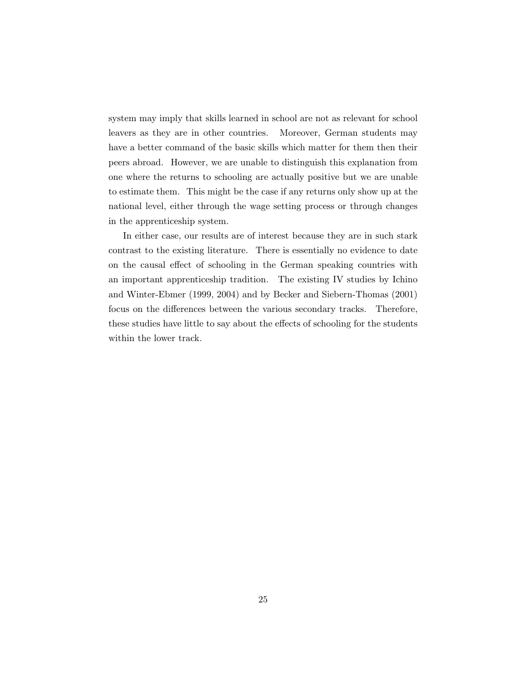system may imply that skills learned in school are not as relevant for school leavers as they are in other countries. Moreover, German students may have a better command of the basic skills which matter for them then their peers abroad. However, we are unable to distinguish this explanation from one where the returns to schooling are actually positive but we are unable to estimate them. This might be the case if any returns only show up at the national level, either through the wage setting process or through changes in the apprenticeship system.

In either case, our results are of interest because they are in such stark contrast to the existing literature. There is essentially no evidence to date on the causal effect of schooling in the German speaking countries with an important apprenticeship tradition. The existing IV studies by Ichino and Winter-Ebmer (1999, 2004) and by Becker and Siebern-Thomas (2001) focus on the differences between the various secondary tracks. Therefore, these studies have little to say about the effects of schooling for the students within the lower track.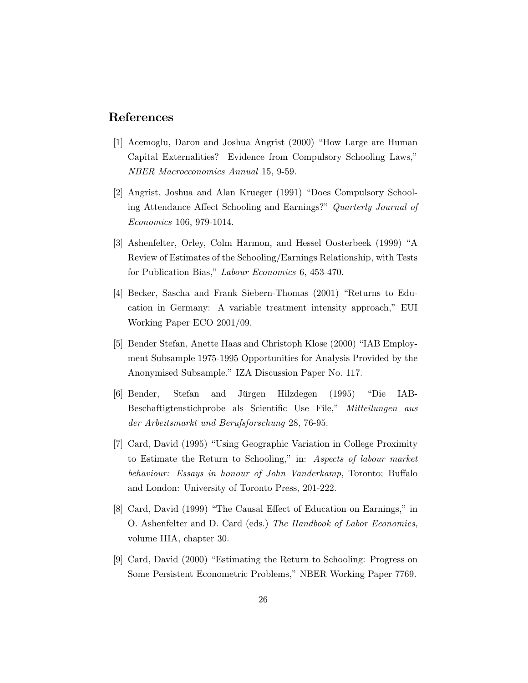### References

- [1] Acemoglu, Daron and Joshua Angrist (2000) "How Large are Human Capital Externalities? Evidence from Compulsory Schooling Laws, NBER Macroeconomics Annual 15, 9-59.
- [2] Angrist, Joshua and Alan Krueger (1991) "Does Compulsory Schooling Attendance Affect Schooling and Earnings?" Quarterly Journal of Economics 106, 979-1014.
- [3] Ashenfelter, Orley, Colm Harmon, and Hessel Oosterbeek (1999) "A Review of Estimates of the Schooling/Earnings Relationship, with Tests for Publication Bias," Labour Economics 6, 453-470.
- [4] Becker, Sascha and Frank Siebern-Thomas (2001) "Returns to Education in Germany: A variable treatment intensity approach," EUI Working Paper ECO 2001/09.
- [5] Bender Stefan, Anette Haas and Christoph Klose (2000) "IAB Employment Subsample 1975-1995 Opportunities for Analysis Provided by the Anonymised Subsample." IZA Discussion Paper No. 117.
- [6] Bender, Stefan and Jürgen Hilzdegen (1995) "Die IAB-Beschaftigtenstichprobe als Scientific Use File," Mitteilungen aus der Arbeitsmarkt und Berufsforschung 28, 76-95.
- [7] Card, David (1995) "Using Geographic Variation in College Proximity to Estimate the Return to Schooling," in: Aspects of labour market behaviour: Essays in honour of John Vanderkamp, Toronto; Buffalo and London: University of Toronto Press, 201-222.
- [8] Card, David (1999) "The Causal Effect of Education on Earnings," in O. Ashenfelter and D. Card (eds.) The Handbook of Labor Economics, volume IIIA, chapter 30.
- [9] Card, David (2000) "Estimating the Return to Schooling: Progress on Some Persistent Econometric Problems," NBER Working Paper 7769.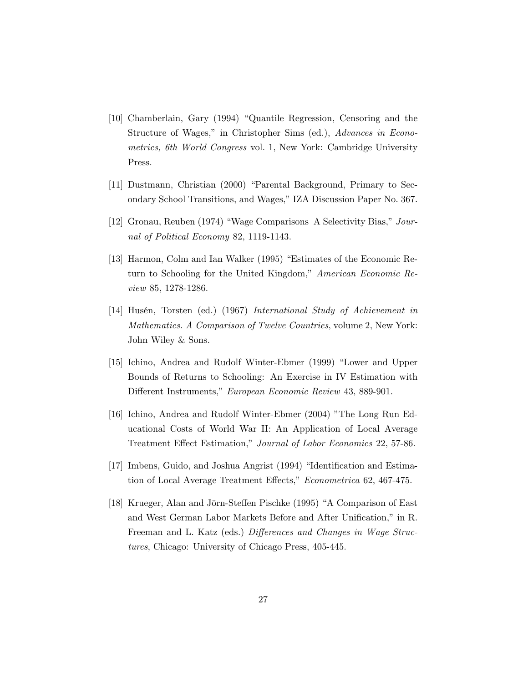- [10] Chamberlain, Gary (1994) "Quantile Regression, Censoring and the Structure of Wages," in Christopher Sims (ed.), Advances in Econometrics, 6th World Congress vol. 1, New York: Cambridge University Press.
- [11] Dustmann, Christian (2000) "Parental Background, Primary to Secondary School Transitions, and Wages," IZA Discussion Paper No. 367.
- [12] Gronau, Reuben (1974) "Wage Comparisons-A Selectivity Bias," Journal of Political Economy 82, 1119-1143.
- [13] Harmon, Colm and Ian Walker (1995) Estimates of the Economic Return to Schooling for the United Kingdom," American Economic Review 85, 1278-1286.
- [14] Husén, Torsten (ed.) (1967) International Study of Achievement in Mathematics. A Comparison of Twelve Countries, volume 2, New York: John Wiley & Sons.
- [15] Ichino, Andrea and Rudolf Winter-Ebmer (1999) "Lower and Upper Bounds of Returns to Schooling: An Exercise in IV Estimation with Different Instruments," European Economic Review 43, 889-901.
- [16] Ichino, Andrea and Rudolf Winter-Ebmer (2004) The Long Run Educational Costs of World War II: An Application of Local Average Treatment Effect Estimation," Journal of Labor Economics 22, 57-86.
- [17] Imbens, Guido, and Joshua Angrist (1994) "Identification and Estimation of Local Average Treatment Effects," Econometrica 62, 467-475.
- [18] Krueger, Alan and Jörn-Steffen Pischke (1995) "A Comparison of East and West German Labor Markets Before and After Unification," in R. Freeman and L. Katz (eds.) Differences and Changes in Wage Structures, Chicago: University of Chicago Press, 405-445.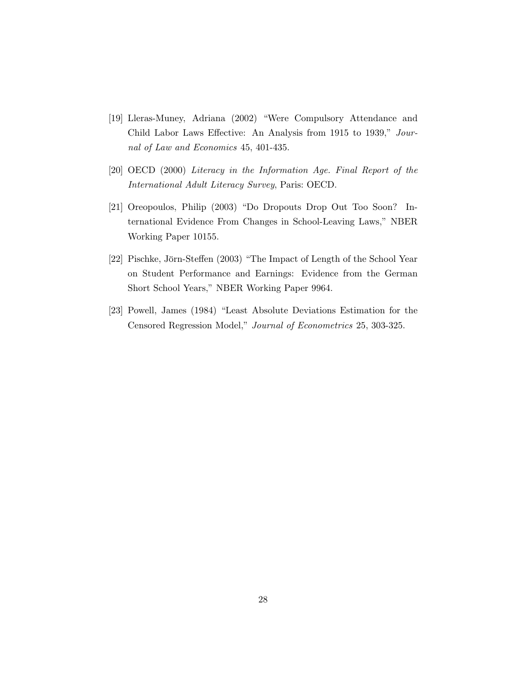- [19] Lleras-Muney, Adriana (2002) Were Compulsory Attendance and Child Labor Laws Effective: An Analysis from 1915 to 1939," Journal of Law and Economics 45, 401-435.
- [20] OECD (2000) Literacy in the Information Age. Final Report of the International Adult Literacy Survey, Paris: OECD.
- [21] Oreopoulos, Philip (2003) "Do Dropouts Drop Out Too Soon? International Evidence From Changes in School-Leaving Laws," NBER Working Paper 10155.
- [22] Pischke, Jörn-Steffen (2003) "The Impact of Length of the School Year on Student Performance and Earnings: Evidence from the German Short School Years," NBER Working Paper 9964.
- [23] Powell, James (1984) "Least Absolute Deviations Estimation for the Censored Regression Model," Journal of Econometrics 25, 303-325.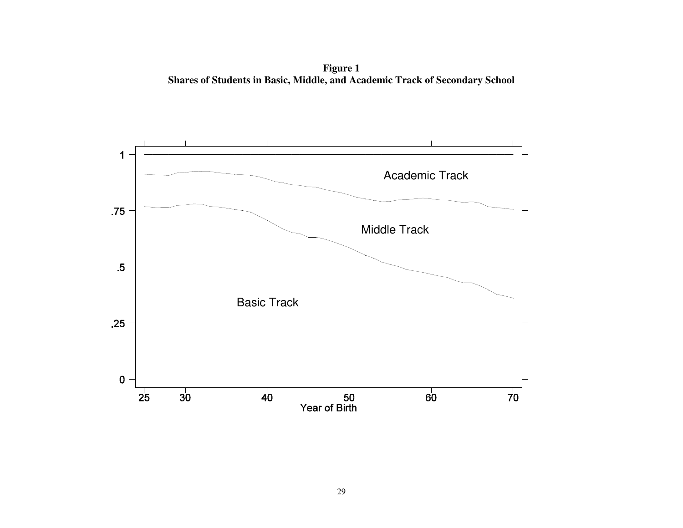**Figure 1 Shares of Students in Basic, Middle, and Academic Track of Secondary School**

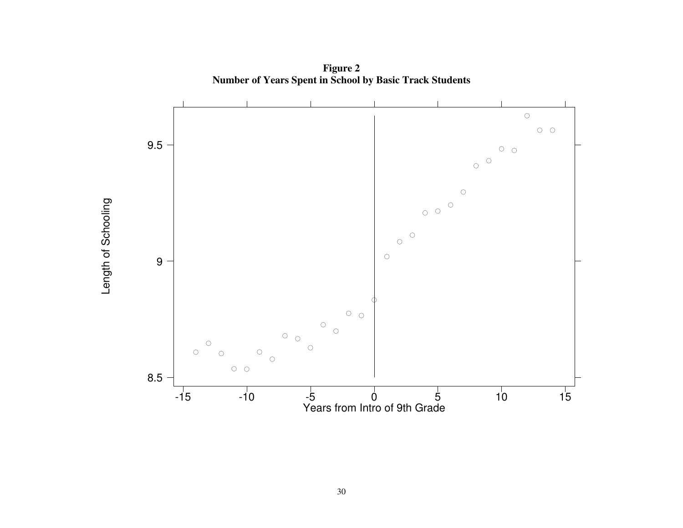

**Figure 2 Number of Years Spent in School by Basic Track Students**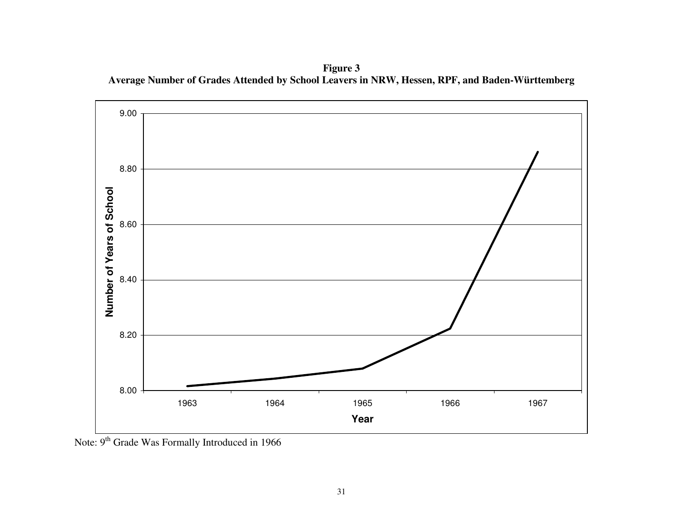**Figure 3 Average Number of Grades Attended by School Leavers in NRW, Hessen, RPF, and Baden-Württemberg**



Note: 9<sup>th</sup> Grade Was Formally Introduced in 1966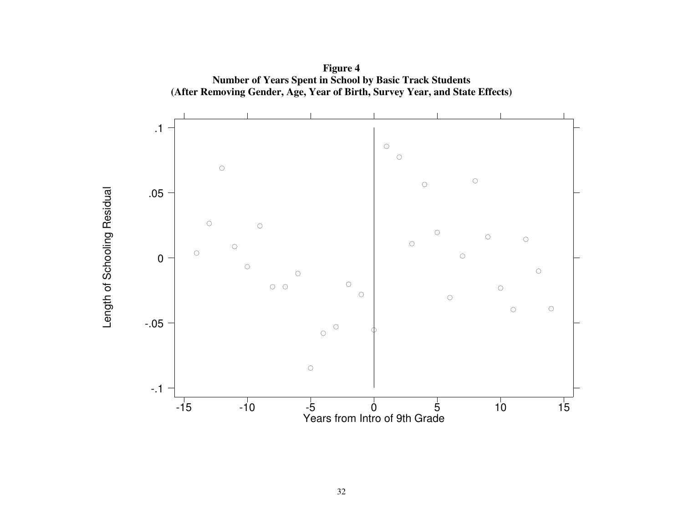

**Figure 4 Number of Years Spent in School by Basic Track Students**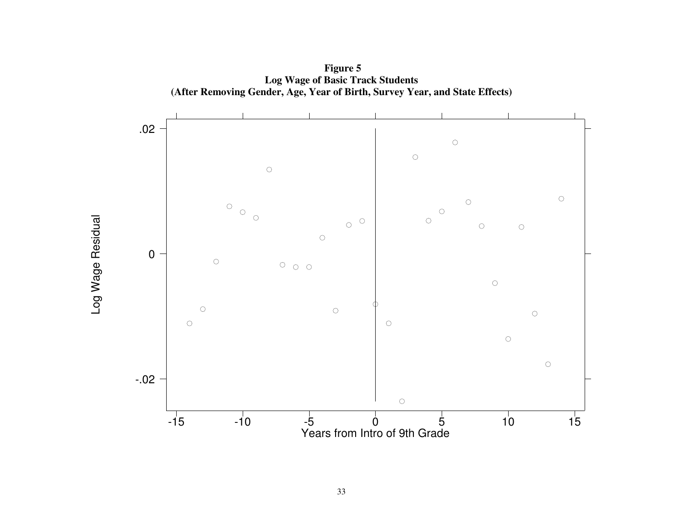

Log Wage Residual

Log Wage Residual

**Figure 5 Log Wage of Basic Track Students (After Removing Gender, Age, Year of Birth, Survey Year, and State Effects)**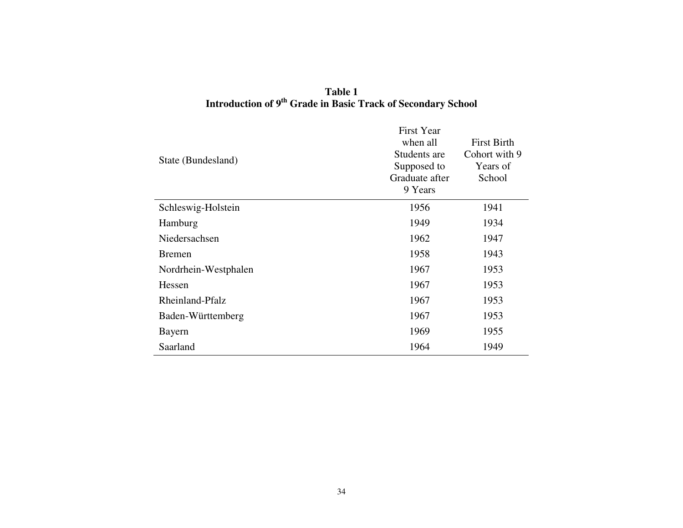# **Table 1 Introduction of <sup>9</sup>th Grade in Basic Track of Secondary School**

| State (Bundesland)   | <b>First Year</b><br>when all<br>Students are<br>Supposed to<br>Graduate after<br>9 Years | <b>First Birth</b><br>Cohort with 9<br>Years of<br>School |
|----------------------|-------------------------------------------------------------------------------------------|-----------------------------------------------------------|
| Schleswig-Holstein   | 1956                                                                                      | 1941                                                      |
| Hamburg              | 1949                                                                                      | 1934                                                      |
| Niedersachsen        | 1962                                                                                      | 1947                                                      |
| <b>Bremen</b>        | 1958                                                                                      | 1943                                                      |
| Nordrhein-Westphalen | 1967                                                                                      | 1953                                                      |
| Hessen               | 1967                                                                                      | 1953                                                      |
| Rheinland-Pfalz      | 1967                                                                                      | 1953                                                      |
| Baden-Württemberg    | 1967                                                                                      | 1953                                                      |
| Bayern               | 1969                                                                                      | 1955                                                      |
| Saarland             | 1964                                                                                      | 1949                                                      |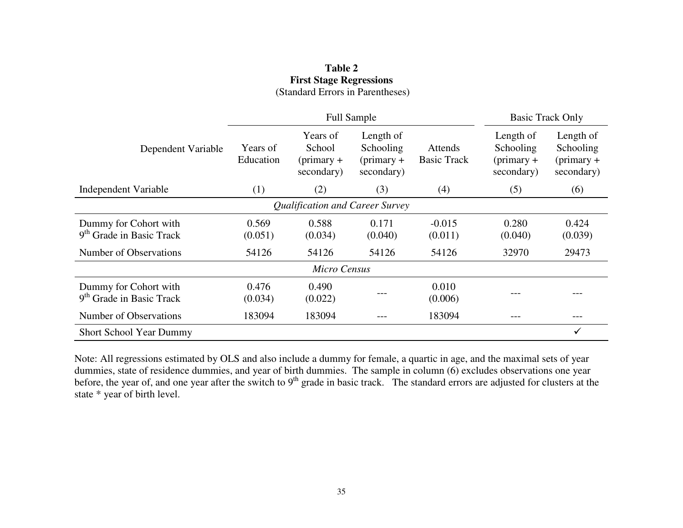|                                                               | <b>Full Sample</b>    |                                                  |                                                      | <b>Basic Track Only</b>       |                                                      |                                                      |
|---------------------------------------------------------------|-----------------------|--------------------------------------------------|------------------------------------------------------|-------------------------------|------------------------------------------------------|------------------------------------------------------|
| Dependent Variable                                            | Years of<br>Education | Years of<br>School<br>$(primary +$<br>secondary) | Length of<br>Schooling<br>$(primary +$<br>secondary) | Attends<br><b>Basic Track</b> | Length of<br>Schooling<br>$(primary +$<br>secondary) | Length of<br>Schooling<br>$(primary +$<br>secondary) |
| Independent Variable                                          | (1)                   | (2)                                              | (3)                                                  | (4)                           | (5)                                                  | (6)                                                  |
| Qualification and Career Survey                               |                       |                                                  |                                                      |                               |                                                      |                                                      |
| Dummy for Cohort with<br>9 <sup>th</sup> Grade in Basic Track | 0.569<br>(0.051)      | 0.588<br>(0.034)                                 | 0.171<br>(0.040)                                     | $-0.015$<br>(0.011)           | 0.280<br>(0.040)                                     | 0.424<br>(0.039)                                     |
| Number of Observations                                        | 54126                 | 54126                                            | 54126                                                | 54126                         | 32970                                                | 29473                                                |
| Micro Census                                                  |                       |                                                  |                                                      |                               |                                                      |                                                      |
| Dummy for Cohort with<br>9 <sup>th</sup> Grade in Basic Track | 0.476<br>(0.034)      | 0.490<br>(0.022)                                 |                                                      | 0.010<br>(0.006)              |                                                      |                                                      |
| Number of Observations                                        | 183094                | 183094                                           |                                                      | 183094                        |                                                      | $---$                                                |
| <b>Short School Year Dummy</b>                                |                       |                                                  |                                                      |                               |                                                      | ✓                                                    |

### **Table 2 First Stage Regressions** (Standard Errors in Parentheses)

Note: All regressions estimated by OLS and also include <sup>a</sup> dummy for female, <sup>a</sup> quartic in age, and the maximal sets of year dummies, state of residence dummies, and year of birth dummies. The sample in column (6) excludes observations one year before, the year of, and one year after the switch to 9<sup>th</sup> grade in basic track. The standard errors are adjusted for clusters at the state \* year of birth level.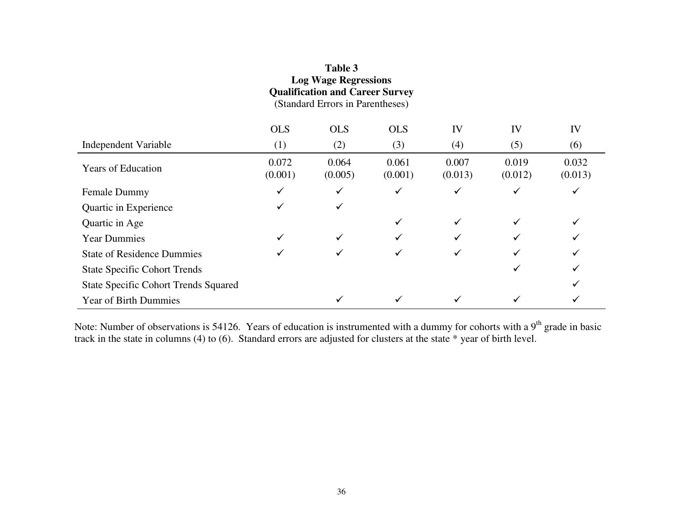| <b>Log Wage Regressions</b><br><b>Qualification and Career Survey</b><br>(Standard Errors in Parentheses) |                  |                  |                  |                  |                  |                  |
|-----------------------------------------------------------------------------------------------------------|------------------|------------------|------------------|------------------|------------------|------------------|
|                                                                                                           | <b>OLS</b>       | <b>OLS</b>       | <b>OLS</b>       | IV               | IV               | IV               |
| Independent Variable                                                                                      | (1)              | (2)              | (3)              | (4)              | (5)              | (6)              |
| <b>Years of Education</b>                                                                                 | 0.072<br>(0.001) | 0.064<br>(0.005) | 0.061<br>(0.001) | 0.007<br>(0.013) | 0.019<br>(0.012) | 0.032<br>(0.013) |
| Female Dummy                                                                                              |                  |                  |                  |                  |                  | ✓                |
| Quartic in Experience                                                                                     |                  | ✓                |                  |                  |                  |                  |
| Quartic in Age                                                                                            |                  |                  |                  |                  |                  |                  |
| <b>Year Dummies</b>                                                                                       |                  |                  |                  |                  |                  |                  |
| <b>State of Residence Dummies</b>                                                                         |                  |                  |                  |                  |                  |                  |
| <b>State Specific Cohort Trends</b>                                                                       |                  |                  |                  |                  |                  |                  |
| <b>State Specific Cohort Trends Squared</b>                                                               |                  |                  |                  |                  |                  |                  |
| <b>Year of Birth Dummies</b>                                                                              |                  |                  |                  |                  |                  |                  |

**Table 3**

Note: Number of observations is 54126. Years of education is instrumented with a dummy for cohorts with a 9<sup>th</sup> grade in basic track in the state in columns (4) to (6). Standard errors are adjusted for clusters at the state \* year of birth level.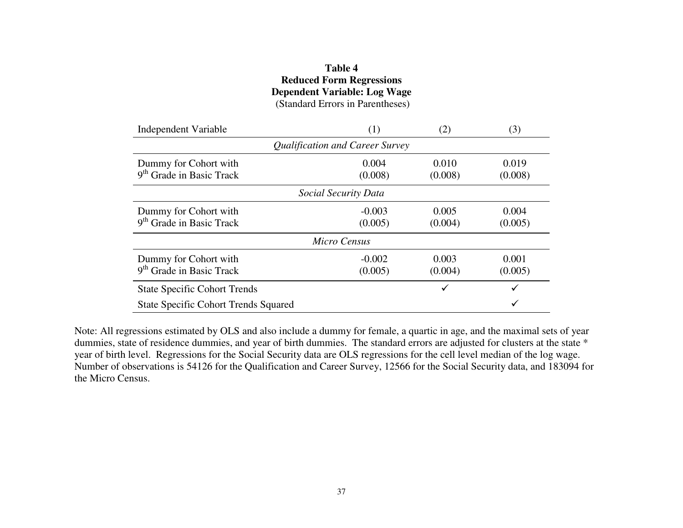### **Table 4Reduced Form Regressions Dependent Variable: Log Wage** (Standard Errors in Parentheses)

| Independent Variable                                          | (1)                             | (2)              | (3)              |
|---------------------------------------------------------------|---------------------------------|------------------|------------------|
|                                                               | Qualification and Career Survey |                  |                  |
| Dummy for Cohort with<br>9 <sup>th</sup> Grade in Basic Track | 0.004<br>(0.008)                | 0.010<br>(0.008) | 0.019<br>(0.008) |
|                                                               | Social Security Data            |                  |                  |
| Dummy for Cohort with<br>9 <sup>th</sup> Grade in Basic Track | $-0.003$<br>(0.005)             | 0.005<br>(0.004) | 0.004<br>(0.005) |
|                                                               | Micro Census                    |                  |                  |
| Dummy for Cohort with<br>9 <sup>th</sup> Grade in Basic Track | $-0.002$<br>(0.005)             | 0.003<br>(0.004) | 0.001<br>(0.005) |
| <b>State Specific Cohort Trends</b>                           |                                 |                  | ✓                |
| <b>State Specific Cohort Trends Squared</b>                   |                                 |                  | ✓                |

Note: All regressions estimated by OLS and also include <sup>a</sup> dummy for female, <sup>a</sup> quartic in age, and the maximal sets of year dummies, state of residence dummies, and year of birth dummies. The standard errors are adjusted for clusters at the state \* year of birth level. Regressions for the Social Security data are OLS regressions for the cell level median of the log wage. Number of observations is 54126 for the Qualification and Career Survey, 12566 for the Social Security data, and 183094 for the Micro Census.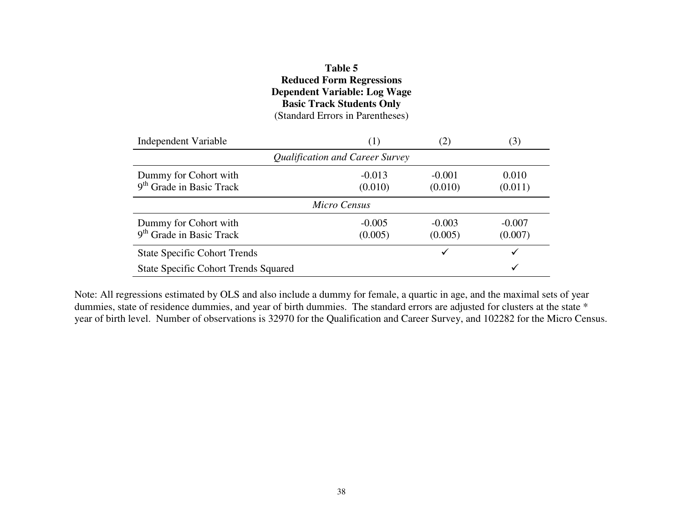### **Table 5Reduced Form Regressions Dependent Variable: Log Wage Basic Track Students Only** (Standard Errors in Parentheses)

| Independent Variable                                          | (1)                 | (2)                 | (3)                 |  |  |
|---------------------------------------------------------------|---------------------|---------------------|---------------------|--|--|
| Qualification and Career Survey                               |                     |                     |                     |  |  |
| Dummy for Cohort with<br>9 <sup>th</sup> Grade in Basic Track | $-0.013$<br>(0.010) | $-0.001$<br>(0.010) | 0.010<br>(0.011)    |  |  |
|                                                               | Micro Census        |                     |                     |  |  |
| Dummy for Cohort with<br>$9th$ Grade in Basic Track           | $-0.005$<br>(0.005) | $-0.003$<br>(0.005) | $-0.007$<br>(0.007) |  |  |
| <b>State Specific Cohort Trends</b>                           |                     |                     |                     |  |  |
| <b>State Specific Cohort Trends Squared</b>                   |                     |                     |                     |  |  |

Note: All regressions estimated by OLS and also include <sup>a</sup> dummy for female, <sup>a</sup> quartic in age, and the maximal sets of year dummies, state of residence dummies, and year of birth dummies. The standard errors are adjusted for clusters at the state \* year of birth level. Number of observations is 32970 for the Qualification and Career Survey, and 102282 for the Micro Census.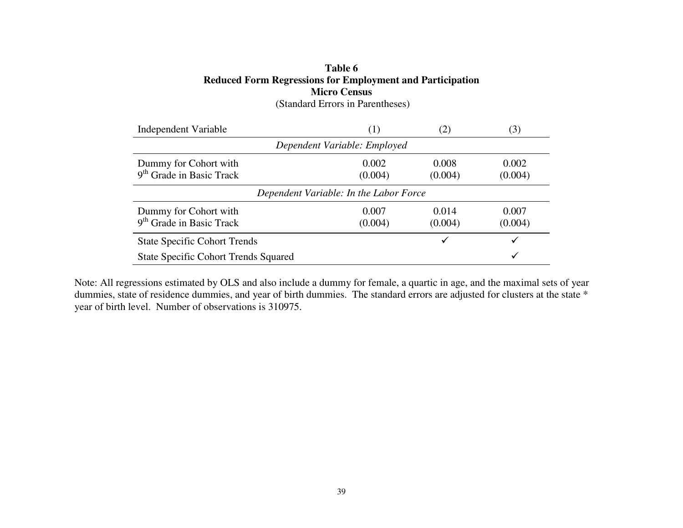### **Table 6Reduced Form Regressions for Employment and Participation Micro Census** (Standard Errors in Parentheses)

Independent Variable (1) (2) (3) *Dependent Variable: Employed* Dummy for Cohort with 9<sup>th</sup> Grade in Basic Track 0.002  $(0.004)$ 0.008 (0.004) 0.002 (0.004) *Dependent Variable: In the Labor Force* Dummy for Cohort with 9<sup>th</sup> Grade in Basic Track 0.007 $(0.004)$ 0.014 $(0.004)$ 0.007 (0.004) State Specific Cohort Trends  $\checkmark$ State Specific Cohort Trends Squared

Note: All regressions estimated by OLS and also include <sup>a</sup> dummy for female, <sup>a</sup> quartic in age, and the maximal sets of year dummies, state of residence dummies, and year of birth dummies. The standard errors are adjusted for clusters at the state \* year of birth level. Number of observations is 310975.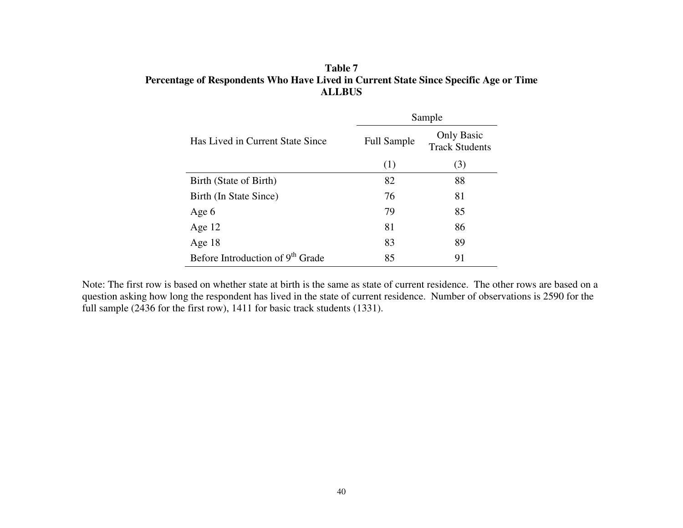### **Table 7 Percentage of Respondents Who Have Lived in Current State Since Specific Age or Time ALLBUS**

|                                              | Sample             |                                            |  |  |
|----------------------------------------------|--------------------|--------------------------------------------|--|--|
| Has Lived in Current State Since             | <b>Full Sample</b> | <b>Only Basic</b><br><b>Track Students</b> |  |  |
|                                              | (1)                | (3)                                        |  |  |
| Birth (State of Birth)                       | 82                 | 88                                         |  |  |
| Birth (In State Since)                       | 76                 | 81                                         |  |  |
| Age 6                                        | 79                 | 85                                         |  |  |
| Age $12$                                     | 81                 | 86                                         |  |  |
| Age $18$                                     | 83                 | 89                                         |  |  |
| Before Introduction of 9 <sup>th</sup> Grade | 85                 | 91                                         |  |  |

Note: The first row is based on whether state at birth is the same as state of current residence. The other rows are based on <sup>a</sup> question asking how long the respondent has lived in the state of current residence. Number of observations is 2590 for the full sample (2436 for the first row), 1411 for basic track students (1331).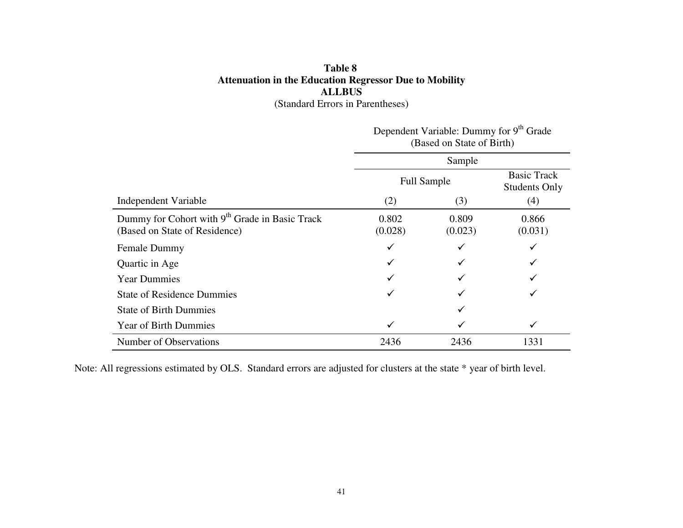### **Table 8 Attenuation in the Education Regressor Due to Mobility ALLBUS** (Standard Errors in Parentheses)

|                                                                                             | Dependent Variable: Dummy for 9 Grade<br>(Based on State of Birth)<br>Sample |                    |                                            |
|---------------------------------------------------------------------------------------------|------------------------------------------------------------------------------|--------------------|--------------------------------------------|
|                                                                                             |                                                                              |                    |                                            |
|                                                                                             |                                                                              | <b>Full Sample</b> | <b>Basic Track</b><br><b>Students Only</b> |
| Independent Variable                                                                        | (2)                                                                          | (3)                | (4)                                        |
| Dummy for Cohort with 9 <sup>th</sup> Grade in Basic Track<br>(Based on State of Residence) | 0.802<br>(0.028)                                                             | 0.809<br>(0.023)   | 0.866<br>(0.031)                           |
| <b>Female Dummy</b>                                                                         | ✓                                                                            |                    |                                            |
| Quartic in Age                                                                              |                                                                              |                    |                                            |
| <b>Year Dummies</b>                                                                         |                                                                              |                    |                                            |
| <b>State of Residence Dummies</b>                                                           |                                                                              |                    |                                            |
| <b>State of Birth Dummies</b>                                                               |                                                                              |                    |                                            |
| <b>Year of Birth Dummies</b>                                                                | ✓                                                                            |                    | ✓                                          |
| Number of Observations                                                                      | 2436                                                                         | 2436               | 1331                                       |

Dependent Variable: Dummy for 9<sup>th</sup> Grade

Note: All regressions estimated by OLS. Standard errors are adjusted for clusters at the state \* year of birth level.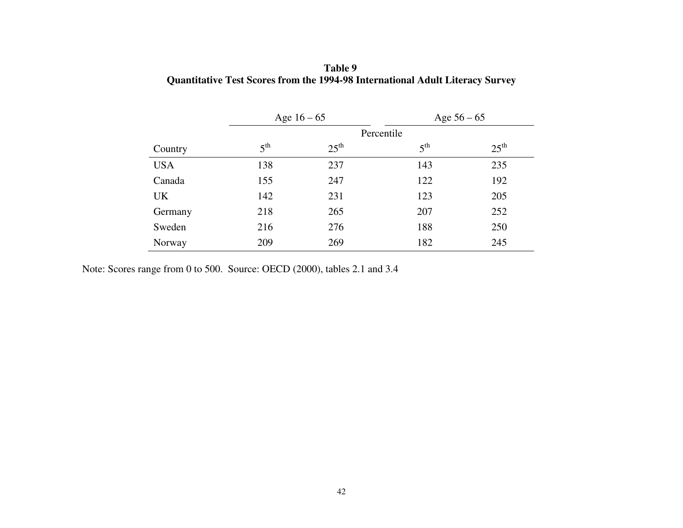|            | Age $16 - 65$   |                  | Age $56 - 65$   |                  |
|------------|-----------------|------------------|-----------------|------------------|
|            | Percentile      |                  |                 |                  |
| Country    | 5 <sup>th</sup> | $25^{\text{th}}$ | 5 <sup>th</sup> | $25^{\text{th}}$ |
| <b>USA</b> | 138             | 237              | 143             | 235              |
| Canada     | 155             | 247              | 122             | 192              |
| UK         | 142             | 231              | 123             | 205              |
| Germany    | 218             | 265              | 207             | 252              |
| Sweden     | 216             | 276              | 188             | 250              |
| Norway     | 209             | 269              | 182             | 245              |

**Table 9 Quantitative Test Scores from the 1994-98 International Adult Literacy Survey**

Note: Scores range from 0 to 500. Source: OECD (2000), tables 2.1 and 3.4